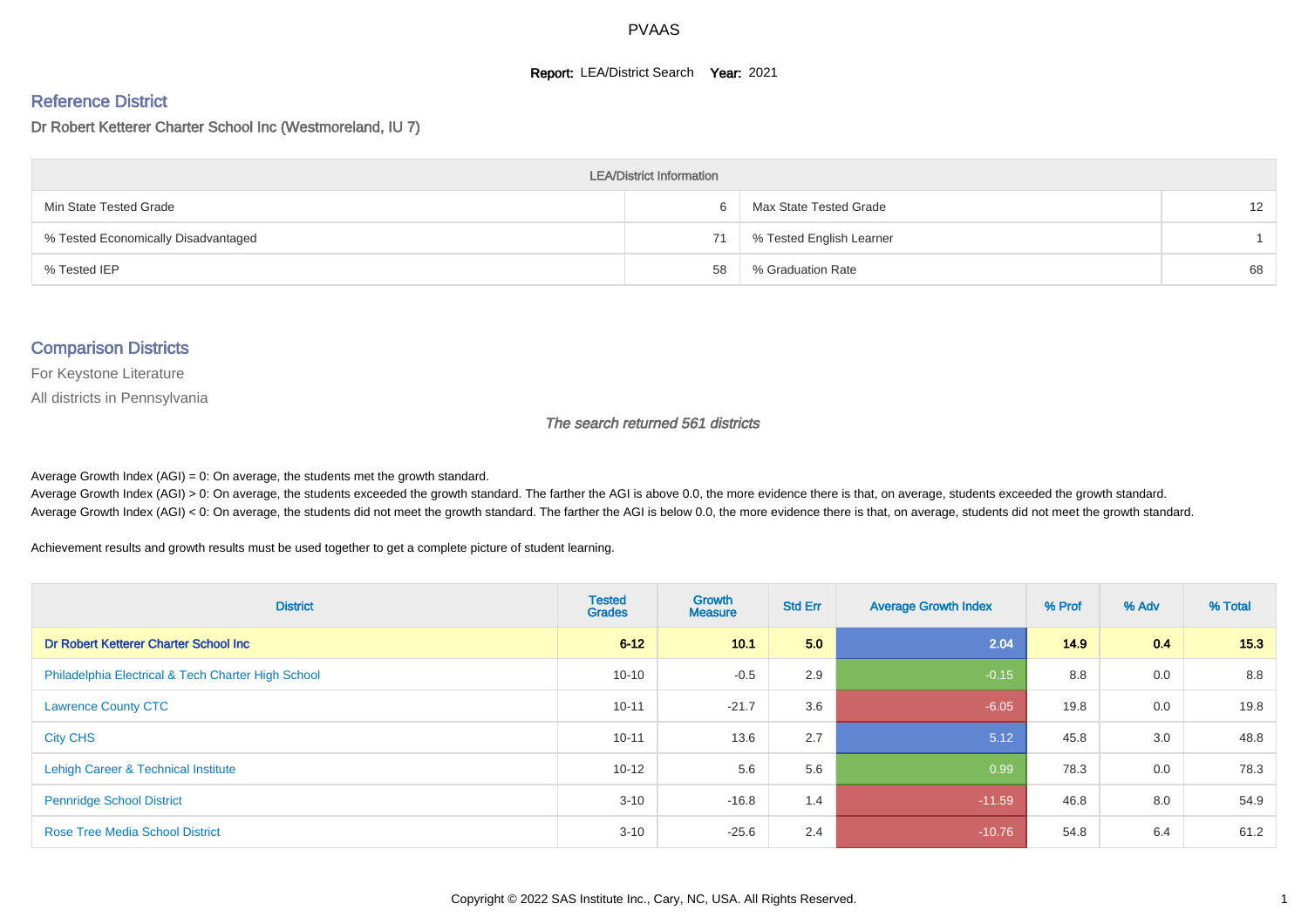#### **Report: LEA/District Search Year: 2021**

#### Reference District

#### Dr Robert Ketterer Charter School Inc (Westmoreland, IU 7)

| <b>LEA/District Information</b>     |    |                          |                 |  |  |  |  |  |  |  |
|-------------------------------------|----|--------------------------|-----------------|--|--|--|--|--|--|--|
| Min State Tested Grade              |    | Max State Tested Grade   | 12 <sup>2</sup> |  |  |  |  |  |  |  |
| % Tested Economically Disadvantaged | 71 | % Tested English Learner |                 |  |  |  |  |  |  |  |
| % Tested IEP                        | 58 | % Graduation Rate        | 68              |  |  |  |  |  |  |  |

#### Comparison Districts

For Keystone Literature

All districts in Pennsylvania

The search returned 561 districts

Average Growth Index  $(AGI) = 0$ : On average, the students met the growth standard.

Average Growth Index (AGI) > 0: On average, the students exceeded the growth standard. The farther the AGI is above 0.0, the more evidence there is that, on average, students exceeded the growth standard. Average Growth Index (AGI) < 0: On average, the students did not meet the growth standard. The farther the AGI is below 0.0, the more evidence there is that, on average, students did not meet the growth standard.

Achievement results and growth results must be used together to get a complete picture of student learning.

| <b>District</b>                                    | <b>Tested</b><br><b>Grades</b> | <b>Growth</b><br><b>Measure</b> | <b>Std Err</b> | <b>Average Growth Index</b> | % Prof | % Adv | % Total |
|----------------------------------------------------|--------------------------------|---------------------------------|----------------|-----------------------------|--------|-------|---------|
| Dr Robert Ketterer Charter School Inc              | $6 - 12$                       | 10.1                            | 5.0            | 2.04                        | 14.9   | 0.4   | 15.3    |
| Philadelphia Electrical & Tech Charter High School | $10 - 10$                      | $-0.5$                          | 2.9            | $-0.15$                     | 8.8    | 0.0   | 8.8     |
| <b>Lawrence County CTC</b>                         | $10 - 11$                      | $-21.7$                         | 3.6            | $-6.05$                     | 19.8   | 0.0   | 19.8    |
| <b>City CHS</b>                                    | $10 - 11$                      | 13.6                            | 2.7            | 5.12                        | 45.8   | 3.0   | 48.8    |
| Lehigh Career & Technical Institute                | $10 - 12$                      | 5.6                             | 5.6            | 0.99                        | 78.3   | 0.0   | 78.3    |
| <b>Pennridge School District</b>                   | $3 - 10$                       | $-16.8$                         | 1.4            | $-11.59$                    | 46.8   | 8.0   | 54.9    |
| <b>Rose Tree Media School District</b>             | $3 - 10$                       | $-25.6$                         | 2.4            | $-10.76$                    | 54.8   | 6.4   | 61.2    |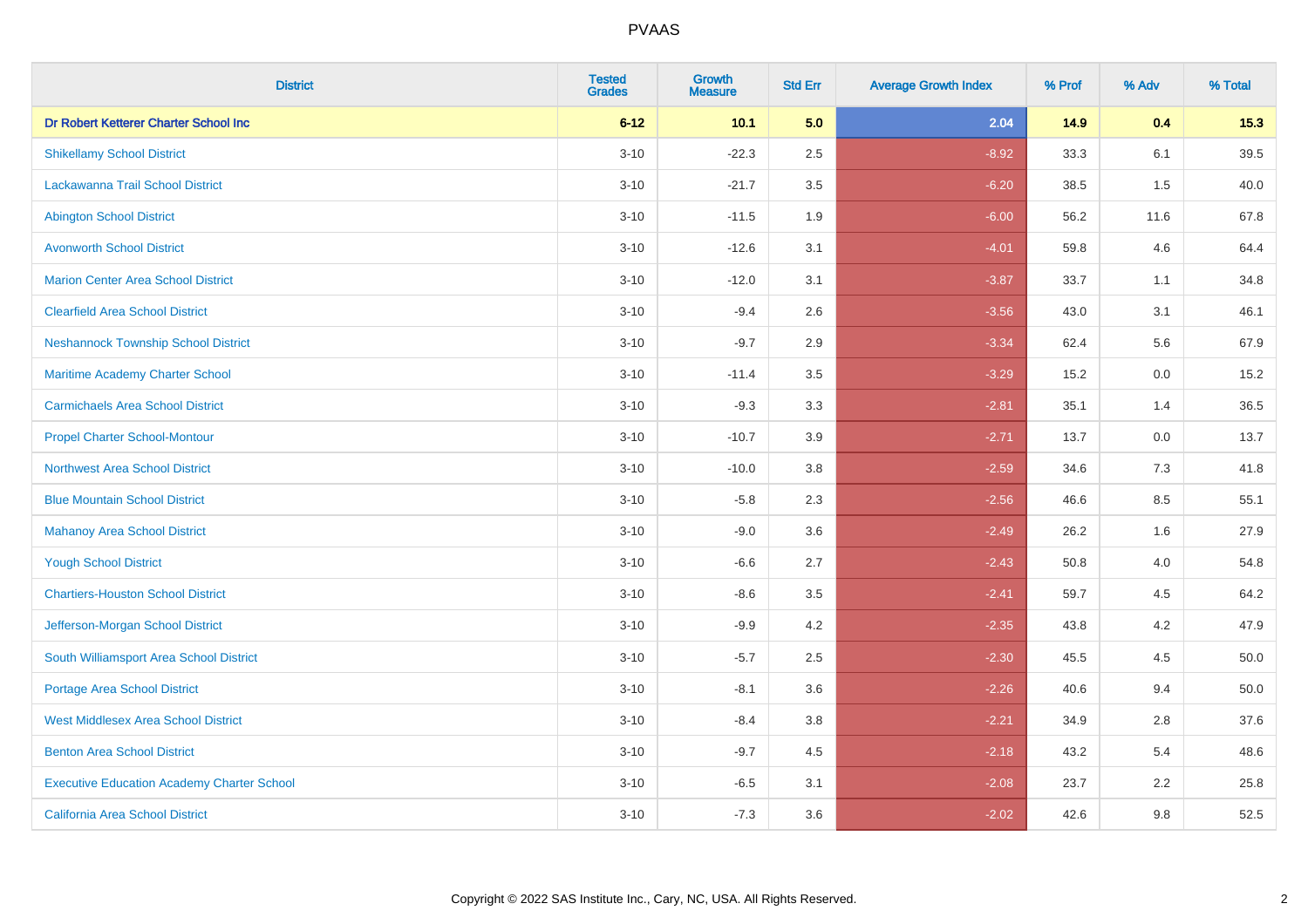| <b>District</b>                                   | <b>Tested</b><br><b>Grades</b> | <b>Growth</b><br><b>Measure</b> | <b>Std Err</b> | <b>Average Growth Index</b> | % Prof | % Adv   | % Total |
|---------------------------------------------------|--------------------------------|---------------------------------|----------------|-----------------------------|--------|---------|---------|
| Dr Robert Ketterer Charter School Inc             | $6 - 12$                       | 10.1                            | 5.0            | 2.04                        | 14.9   | 0.4     | 15.3    |
| <b>Shikellamy School District</b>                 | $3 - 10$                       | $-22.3$                         | 2.5            | $-8.92$                     | 33.3   | 6.1     | 39.5    |
| Lackawanna Trail School District                  | $3 - 10$                       | $-21.7$                         | 3.5            | $-6.20$                     | 38.5   | 1.5     | 40.0    |
| <b>Abington School District</b>                   | $3 - 10$                       | $-11.5$                         | 1.9            | $-6.00$                     | 56.2   | 11.6    | 67.8    |
| <b>Avonworth School District</b>                  | $3 - 10$                       | $-12.6$                         | 3.1            | $-4.01$                     | 59.8   | 4.6     | 64.4    |
| <b>Marion Center Area School District</b>         | $3 - 10$                       | $-12.0$                         | 3.1            | $-3.87$                     | 33.7   | 1.1     | 34.8    |
| <b>Clearfield Area School District</b>            | $3 - 10$                       | $-9.4$                          | 2.6            | $-3.56$                     | 43.0   | 3.1     | 46.1    |
| <b>Neshannock Township School District</b>        | $3 - 10$                       | $-9.7$                          | 2.9            | $-3.34$                     | 62.4   | 5.6     | 67.9    |
| Maritime Academy Charter School                   | $3 - 10$                       | $-11.4$                         | 3.5            | $-3.29$                     | 15.2   | 0.0     | 15.2    |
| <b>Carmichaels Area School District</b>           | $3 - 10$                       | $-9.3$                          | 3.3            | $-2.81$                     | 35.1   | 1.4     | 36.5    |
| <b>Propel Charter School-Montour</b>              | $3 - 10$                       | $-10.7$                         | 3.9            | $-2.71$                     | 13.7   | 0.0     | 13.7    |
| <b>Northwest Area School District</b>             | $3 - 10$                       | $-10.0$                         | 3.8            | $-2.59$                     | 34.6   | 7.3     | 41.8    |
| <b>Blue Mountain School District</b>              | $3 - 10$                       | $-5.8$                          | 2.3            | $-2.56$                     | 46.6   | $8.5\,$ | 55.1    |
| <b>Mahanoy Area School District</b>               | $3 - 10$                       | $-9.0$                          | 3.6            | $-2.49$                     | 26.2   | 1.6     | 27.9    |
| <b>Yough School District</b>                      | $3 - 10$                       | $-6.6$                          | 2.7            | $-2.43$                     | 50.8   | 4.0     | 54.8    |
| <b>Chartiers-Houston School District</b>          | $3 - 10$                       | $-8.6$                          | 3.5            | $-2.41$                     | 59.7   | 4.5     | 64.2    |
| Jefferson-Morgan School District                  | $3 - 10$                       | $-9.9$                          | 4.2            | $-2.35$                     | 43.8   | 4.2     | 47.9    |
| South Williamsport Area School District           | $3 - 10$                       | $-5.7$                          | 2.5            | $-2.30$                     | 45.5   | 4.5     | 50.0    |
| Portage Area School District                      | $3 - 10$                       | $-8.1$                          | 3.6            | $-2.26$                     | 40.6   | 9.4     | 50.0    |
| <b>West Middlesex Area School District</b>        | $3 - 10$                       | $-8.4$                          | 3.8            | $-2.21$                     | 34.9   | 2.8     | 37.6    |
| <b>Benton Area School District</b>                | $3 - 10$                       | $-9.7$                          | 4.5            | $-2.18$                     | 43.2   | 5.4     | 48.6    |
| <b>Executive Education Academy Charter School</b> | $3 - 10$                       | $-6.5$                          | 3.1            | $-2.08$                     | 23.7   | 2.2     | 25.8    |
| <b>California Area School District</b>            | $3 - 10$                       | $-7.3$                          | 3.6            | $-2.02$                     | 42.6   | 9.8     | 52.5    |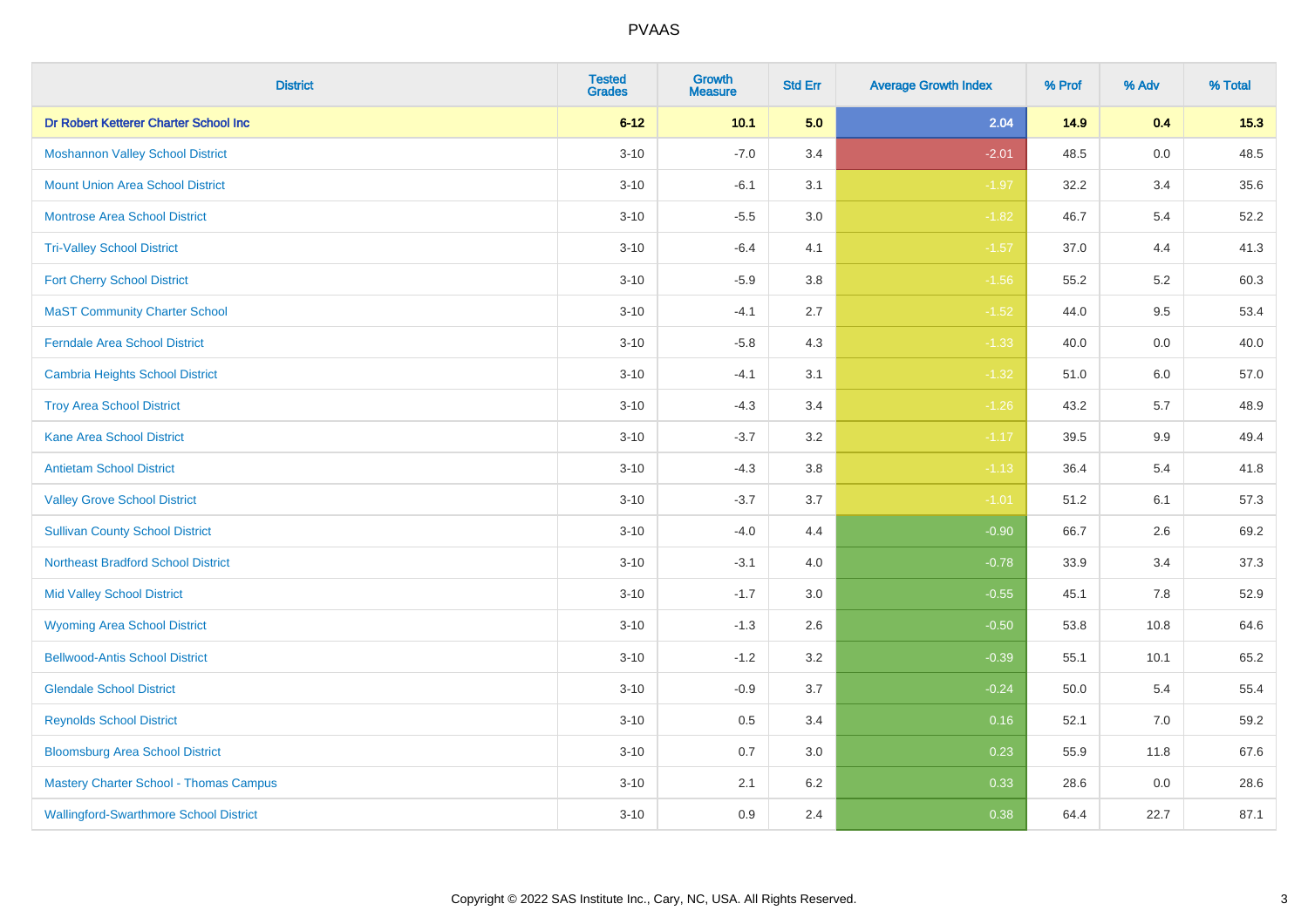| <b>District</b>                               | <b>Tested</b><br><b>Grades</b> | <b>Growth</b><br><b>Measure</b> | <b>Std Err</b> | <b>Average Growth Index</b> | % Prof | % Adv   | % Total |
|-----------------------------------------------|--------------------------------|---------------------------------|----------------|-----------------------------|--------|---------|---------|
| Dr Robert Ketterer Charter School Inc         | $6 - 12$                       | 10.1                            | 5.0            | 2.04                        | 14.9   | 0.4     | 15.3    |
| <b>Moshannon Valley School District</b>       | $3 - 10$                       | $-7.0$                          | 3.4            | $-2.01$                     | 48.5   | $0.0\,$ | 48.5    |
| <b>Mount Union Area School District</b>       | $3 - 10$                       | $-6.1$                          | 3.1            | $-1.97$                     | 32.2   | 3.4     | 35.6    |
| <b>Montrose Area School District</b>          | $3 - 10$                       | $-5.5$                          | $3.0\,$        | $-1.82$                     | 46.7   | 5.4     | 52.2    |
| <b>Tri-Valley School District</b>             | $3 - 10$                       | $-6.4$                          | 4.1            | $-1.57$                     | 37.0   | 4.4     | 41.3    |
| <b>Fort Cherry School District</b>            | $3 - 10$                       | $-5.9$                          | 3.8            | $-1.56$                     | 55.2   | 5.2     | 60.3    |
| <b>MaST Community Charter School</b>          | $3 - 10$                       | $-4.1$                          | 2.7            | $-1.52$                     | 44.0   | 9.5     | 53.4    |
| <b>Ferndale Area School District</b>          | $3 - 10$                       | $-5.8$                          | 4.3            | $-1.33$                     | 40.0   | 0.0     | 40.0    |
| <b>Cambria Heights School District</b>        | $3 - 10$                       | $-4.1$                          | 3.1            | $-1.32$                     | 51.0   | 6.0     | 57.0    |
| <b>Troy Area School District</b>              | $3 - 10$                       | $-4.3$                          | 3.4            | $-1.26$                     | 43.2   | 5.7     | 48.9    |
| <b>Kane Area School District</b>              | $3 - 10$                       | $-3.7$                          | 3.2            | $-1.17$                     | 39.5   | 9.9     | 49.4    |
| <b>Antietam School District</b>               | $3 - 10$                       | $-4.3$                          | 3.8            | $-1.13$                     | 36.4   | 5.4     | 41.8    |
| <b>Valley Grove School District</b>           | $3 - 10$                       | $-3.7$                          | 3.7            | $-1.01$                     | 51.2   | 6.1     | 57.3    |
| <b>Sullivan County School District</b>        | $3 - 10$                       | $-4.0$                          | 4.4            | $-0.90$                     | 66.7   | 2.6     | 69.2    |
| <b>Northeast Bradford School District</b>     | $3 - 10$                       | $-3.1$                          | 4.0            | $-0.78$                     | 33.9   | 3.4     | 37.3    |
| <b>Mid Valley School District</b>             | $3 - 10$                       | $-1.7$                          | 3.0            | $-0.55$                     | 45.1   | 7.8     | 52.9    |
| <b>Wyoming Area School District</b>           | $3 - 10$                       | $-1.3$                          | 2.6            | $-0.50$                     | 53.8   | 10.8    | 64.6    |
| <b>Bellwood-Antis School District</b>         | $3 - 10$                       | $-1.2$                          | 3.2            | $-0.39$                     | 55.1   | 10.1    | 65.2    |
| <b>Glendale School District</b>               | $3 - 10$                       | $-0.9$                          | 3.7            | $-0.24$                     | 50.0   | 5.4     | 55.4    |
| <b>Reynolds School District</b>               | $3 - 10$                       | 0.5                             | 3.4            | 0.16                        | 52.1   | 7.0     | 59.2    |
| <b>Bloomsburg Area School District</b>        | $3 - 10$                       | 0.7                             | 3.0            | 0.23                        | 55.9   | 11.8    | 67.6    |
| <b>Mastery Charter School - Thomas Campus</b> | $3 - 10$                       | 2.1                             | 6.2            | 0.33                        | 28.6   | 0.0     | 28.6    |
| <b>Wallingford-Swarthmore School District</b> | $3 - 10$                       | 0.9                             | 2.4            | 0.38                        | 64.4   | 22.7    | 87.1    |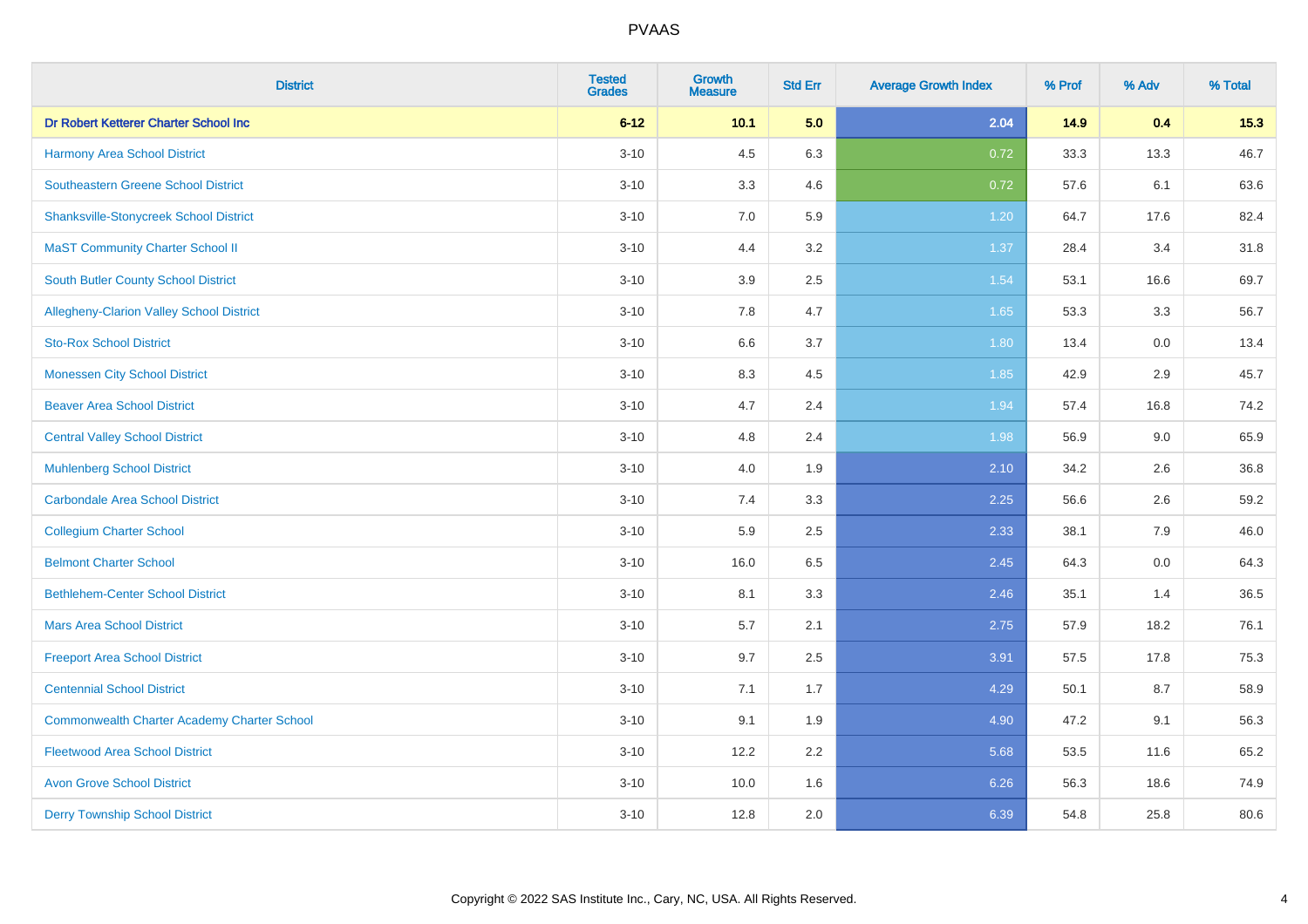| <b>District</b>                                    | <b>Tested</b><br><b>Grades</b> | <b>Growth</b><br><b>Measure</b> | <b>Std Err</b> | <b>Average Growth Index</b> | % Prof | % Adv | % Total |
|----------------------------------------------------|--------------------------------|---------------------------------|----------------|-----------------------------|--------|-------|---------|
| Dr Robert Ketterer Charter School Inc              | $6 - 12$                       | 10.1                            | 5.0            | 2.04                        | 14.9   | 0.4   | 15.3    |
| <b>Harmony Area School District</b>                | $3 - 10$                       | 4.5                             | 6.3            | 0.72                        | 33.3   | 13.3  | 46.7    |
| <b>Southeastern Greene School District</b>         | $3 - 10$                       | 3.3                             | 4.6            | 0.72                        | 57.6   | 6.1   | 63.6    |
| <b>Shanksville-Stonycreek School District</b>      | $3 - 10$                       | 7.0                             | 5.9            | 1.20                        | 64.7   | 17.6  | 82.4    |
| <b>MaST Community Charter School II</b>            | $3 - 10$                       | 4.4                             | 3.2            | 1.37                        | 28.4   | 3.4   | 31.8    |
| South Butler County School District                | $3 - 10$                       | 3.9                             | 2.5            | 1.54                        | 53.1   | 16.6  | 69.7    |
| Allegheny-Clarion Valley School District           | $3 - 10$                       | 7.8                             | 4.7            | 1.65                        | 53.3   | 3.3   | 56.7    |
| <b>Sto-Rox School District</b>                     | $3 - 10$                       | 6.6                             | 3.7            | 1.80                        | 13.4   | 0.0   | 13.4    |
| <b>Monessen City School District</b>               | $3 - 10$                       | 8.3                             | 4.5            | 1.85                        | 42.9   | 2.9   | 45.7    |
| <b>Beaver Area School District</b>                 | $3 - 10$                       | 4.7                             | 2.4            | 1.94                        | 57.4   | 16.8  | 74.2    |
| <b>Central Valley School District</b>              | $3 - 10$                       | 4.8                             | 2.4            | 1.98                        | 56.9   | 9.0   | 65.9    |
| <b>Muhlenberg School District</b>                  | $3 - 10$                       | 4.0                             | 1.9            | 2.10                        | 34.2   | 2.6   | 36.8    |
| <b>Carbondale Area School District</b>             | $3 - 10$                       | 7.4                             | 3.3            | 2.25                        | 56.6   | 2.6   | 59.2    |
| <b>Collegium Charter School</b>                    | $3 - 10$                       | 5.9                             | 2.5            | 2.33                        | 38.1   | 7.9   | 46.0    |
| <b>Belmont Charter School</b>                      | $3 - 10$                       | 16.0                            | 6.5            | 2.45                        | 64.3   | 0.0   | 64.3    |
| <b>Bethlehem-Center School District</b>            | $3 - 10$                       | 8.1                             | 3.3            | 2.46                        | 35.1   | 1.4   | 36.5    |
| <b>Mars Area School District</b>                   | $3 - 10$                       | 5.7                             | 2.1            | 2.75                        | 57.9   | 18.2  | 76.1    |
| <b>Freeport Area School District</b>               | $3 - 10$                       | 9.7                             | 2.5            | 3.91                        | 57.5   | 17.8  | 75.3    |
| <b>Centennial School District</b>                  | $3 - 10$                       | 7.1                             | 1.7            | 4.29                        | 50.1   | 8.7   | 58.9    |
| <b>Commonwealth Charter Academy Charter School</b> | $3 - 10$                       | 9.1                             | 1.9            | 4.90                        | 47.2   | 9.1   | 56.3    |
| <b>Fleetwood Area School District</b>              | $3 - 10$                       | 12.2                            | 2.2            | 5.68                        | 53.5   | 11.6  | 65.2    |
| <b>Avon Grove School District</b>                  | $3 - 10$                       | 10.0                            | 1.6            | 6.26                        | 56.3   | 18.6  | 74.9    |
| <b>Derry Township School District</b>              | $3 - 10$                       | 12.8                            | 2.0            | 6.39                        | 54.8   | 25.8  | 80.6    |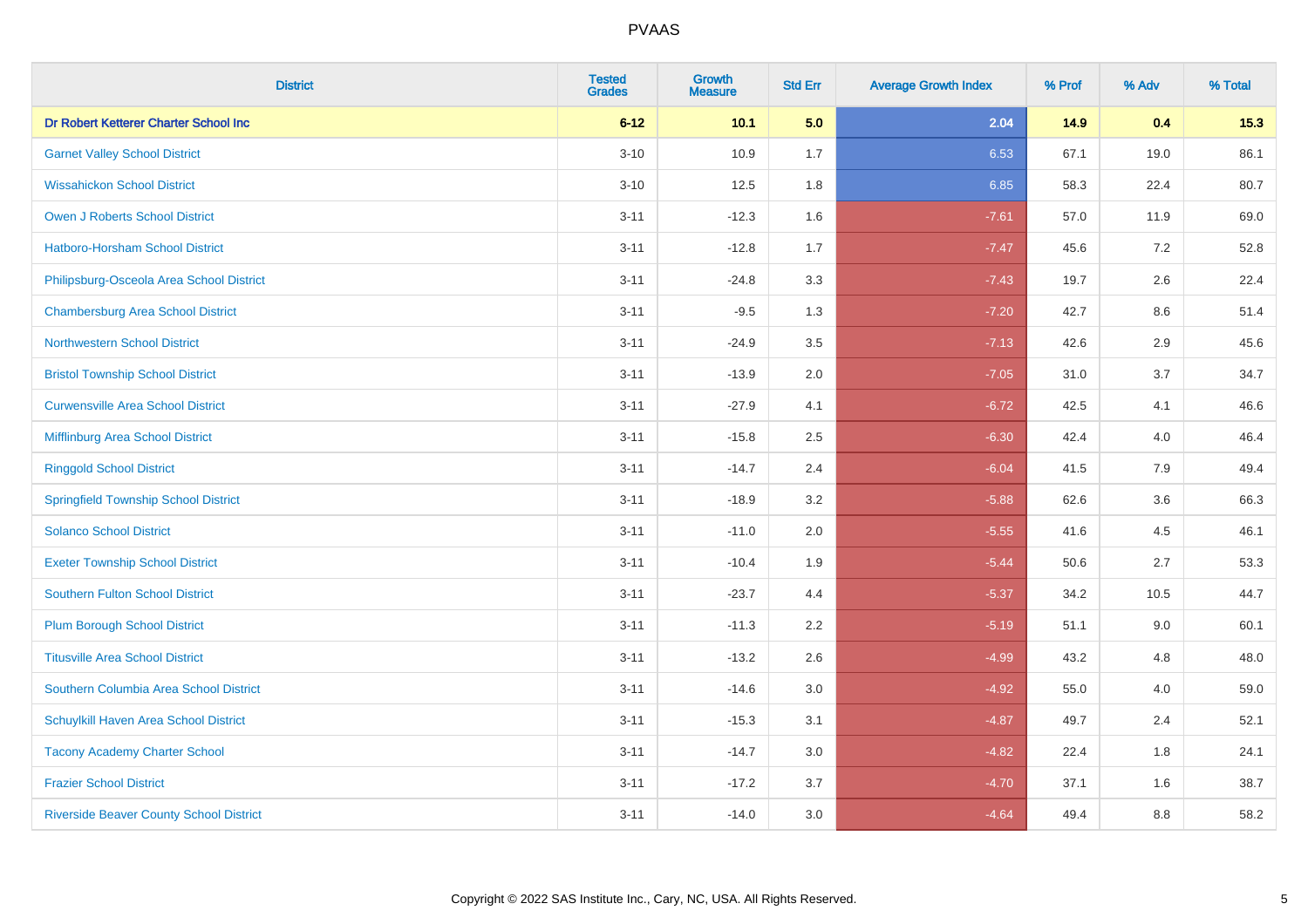| <b>District</b>                                | <b>Tested</b><br><b>Grades</b> | Growth<br><b>Measure</b> | <b>Std Err</b> | <b>Average Growth Index</b> | % Prof | % Adv | % Total |
|------------------------------------------------|--------------------------------|--------------------------|----------------|-----------------------------|--------|-------|---------|
| Dr Robert Ketterer Charter School Inc          | $6 - 12$                       | 10.1                     | 5.0            | 2.04                        | 14.9   | 0.4   | 15.3    |
| <b>Garnet Valley School District</b>           | $3 - 10$                       | 10.9                     | 1.7            | 6.53                        | 67.1   | 19.0  | 86.1    |
| <b>Wissahickon School District</b>             | $3 - 10$                       | 12.5                     | 1.8            | 6.85                        | 58.3   | 22.4  | 80.7    |
| <b>Owen J Roberts School District</b>          | $3 - 11$                       | $-12.3$                  | 1.6            | $-7.61$                     | 57.0   | 11.9  | 69.0    |
| Hatboro-Horsham School District                | $3 - 11$                       | $-12.8$                  | 1.7            | $-7.47$                     | 45.6   | 7.2   | 52.8    |
| Philipsburg-Osceola Area School District       | $3 - 11$                       | $-24.8$                  | 3.3            | $-7.43$                     | 19.7   | 2.6   | 22.4    |
| <b>Chambersburg Area School District</b>       | $3 - 11$                       | $-9.5$                   | 1.3            | $-7.20$                     | 42.7   | 8.6   | 51.4    |
| <b>Northwestern School District</b>            | $3 - 11$                       | $-24.9$                  | 3.5            | $-7.13$                     | 42.6   | 2.9   | 45.6    |
| <b>Bristol Township School District</b>        | $3 - 11$                       | $-13.9$                  | 2.0            | $-7.05$                     | 31.0   | 3.7   | 34.7    |
| <b>Curwensville Area School District</b>       | $3 - 11$                       | $-27.9$                  | 4.1            | $-6.72$                     | 42.5   | 4.1   | 46.6    |
| Mifflinburg Area School District               | $3 - 11$                       | $-15.8$                  | 2.5            | $-6.30$                     | 42.4   | 4.0   | 46.4    |
| <b>Ringgold School District</b>                | $3 - 11$                       | $-14.7$                  | 2.4            | $-6.04$                     | 41.5   | 7.9   | 49.4    |
| <b>Springfield Township School District</b>    | $3 - 11$                       | $-18.9$                  | 3.2            | $-5.88$                     | 62.6   | 3.6   | 66.3    |
| <b>Solanco School District</b>                 | $3 - 11$                       | $-11.0$                  | 2.0            | $-5.55$                     | 41.6   | 4.5   | 46.1    |
| <b>Exeter Township School District</b>         | $3 - 11$                       | $-10.4$                  | 1.9            | $-5.44$                     | 50.6   | 2.7   | 53.3    |
| <b>Southern Fulton School District</b>         | $3 - 11$                       | $-23.7$                  | 4.4            | $-5.37$                     | 34.2   | 10.5  | 44.7    |
| <b>Plum Borough School District</b>            | $3 - 11$                       | $-11.3$                  | 2.2            | $-5.19$                     | 51.1   | 9.0   | 60.1    |
| <b>Titusville Area School District</b>         | $3 - 11$                       | $-13.2$                  | 2.6            | $-4.99$                     | 43.2   | 4.8   | 48.0    |
| Southern Columbia Area School District         | $3 - 11$                       | $-14.6$                  | 3.0            | $-4.92$                     | 55.0   | 4.0   | 59.0    |
| Schuylkill Haven Area School District          | $3 - 11$                       | $-15.3$                  | 3.1            | $-4.87$                     | 49.7   | 2.4   | 52.1    |
| <b>Tacony Academy Charter School</b>           | $3 - 11$                       | $-14.7$                  | 3.0            | $-4.82$                     | 22.4   | 1.8   | 24.1    |
| <b>Frazier School District</b>                 | $3 - 11$                       | $-17.2$                  | 3.7            | $-4.70$                     | 37.1   | 1.6   | 38.7    |
| <b>Riverside Beaver County School District</b> | $3 - 11$                       | $-14.0$                  | 3.0            | $-4.64$                     | 49.4   | 8.8   | 58.2    |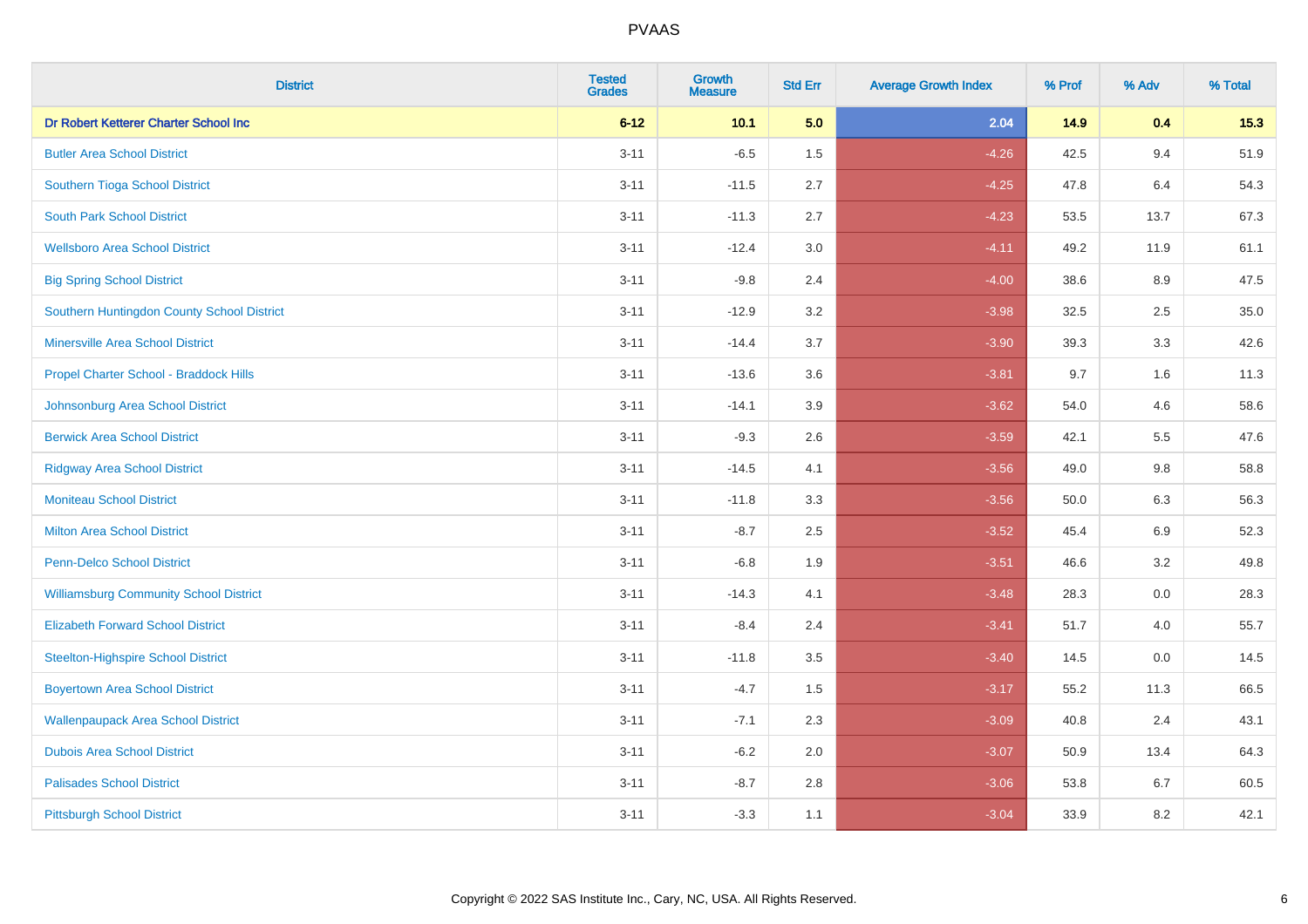| <b>District</b>                               | <b>Tested</b><br><b>Grades</b> | <b>Growth</b><br><b>Measure</b> | <b>Std Err</b> | <b>Average Growth Index</b> | % Prof | % Adv   | % Total |
|-----------------------------------------------|--------------------------------|---------------------------------|----------------|-----------------------------|--------|---------|---------|
| Dr Robert Ketterer Charter School Inc         | $6 - 12$                       | 10.1                            | 5.0            | 2.04                        | 14.9   | 0.4     | 15.3    |
| <b>Butler Area School District</b>            | $3 - 11$                       | $-6.5$                          | 1.5            | $-4.26$                     | 42.5   | 9.4     | 51.9    |
| Southern Tioga School District                | $3 - 11$                       | $-11.5$                         | 2.7            | $-4.25$                     | 47.8   | 6.4     | 54.3    |
| <b>South Park School District</b>             | $3 - 11$                       | $-11.3$                         | 2.7            | $-4.23$                     | 53.5   | 13.7    | 67.3    |
| <b>Wellsboro Area School District</b>         | $3 - 11$                       | $-12.4$                         | 3.0            | $-4.11$                     | 49.2   | 11.9    | 61.1    |
| <b>Big Spring School District</b>             | $3 - 11$                       | $-9.8$                          | 2.4            | $-4.00$                     | 38.6   | 8.9     | 47.5    |
| Southern Huntingdon County School District    | $3 - 11$                       | $-12.9$                         | 3.2            | $-3.98$                     | 32.5   | 2.5     | 35.0    |
| <b>Minersville Area School District</b>       | $3 - 11$                       | $-14.4$                         | 3.7            | $-3.90$                     | 39.3   | 3.3     | 42.6    |
| Propel Charter School - Braddock Hills        | $3 - 11$                       | $-13.6$                         | 3.6            | $-3.81$                     | 9.7    | 1.6     | 11.3    |
| Johnsonburg Area School District              | $3 - 11$                       | $-14.1$                         | 3.9            | $-3.62$                     | 54.0   | 4.6     | 58.6    |
| <b>Berwick Area School District</b>           | $3 - 11$                       | $-9.3$                          | 2.6            | $-3.59$                     | 42.1   | 5.5     | 47.6    |
| <b>Ridgway Area School District</b>           | $3 - 11$                       | $-14.5$                         | 4.1            | $-3.56$                     | 49.0   | 9.8     | 58.8    |
| <b>Moniteau School District</b>               | $3 - 11$                       | $-11.8$                         | 3.3            | $-3.56$                     | 50.0   | $6.3\,$ | 56.3    |
| <b>Milton Area School District</b>            | $3 - 11$                       | $-8.7$                          | 2.5            | $-3.52$                     | 45.4   | 6.9     | 52.3    |
| <b>Penn-Delco School District</b>             | $3 - 11$                       | $-6.8$                          | 1.9            | $-3.51$                     | 46.6   | 3.2     | 49.8    |
| <b>Williamsburg Community School District</b> | $3 - 11$                       | $-14.3$                         | 4.1            | $-3.48$                     | 28.3   | $0.0\,$ | 28.3    |
| <b>Elizabeth Forward School District</b>      | $3 - 11$                       | $-8.4$                          | 2.4            | $-3.41$                     | 51.7   | 4.0     | 55.7    |
| <b>Steelton-Highspire School District</b>     | $3 - 11$                       | $-11.8$                         | 3.5            | $-3.40$                     | 14.5   | 0.0     | 14.5    |
| <b>Boyertown Area School District</b>         | $3 - 11$                       | $-4.7$                          | 1.5            | $-3.17$                     | 55.2   | 11.3    | 66.5    |
| <b>Wallenpaupack Area School District</b>     | $3 - 11$                       | $-7.1$                          | 2.3            | $-3.09$                     | 40.8   | 2.4     | 43.1    |
| <b>Dubois Area School District</b>            | $3 - 11$                       | $-6.2$                          | 2.0            | $-3.07$                     | 50.9   | 13.4    | 64.3    |
| <b>Palisades School District</b>              | $3 - 11$                       | $-8.7$                          | 2.8            | $-3.06$                     | 53.8   | 6.7     | 60.5    |
| <b>Pittsburgh School District</b>             | $3 - 11$                       | $-3.3$                          | 1.1            | $-3.04$                     | 33.9   | 8.2     | 42.1    |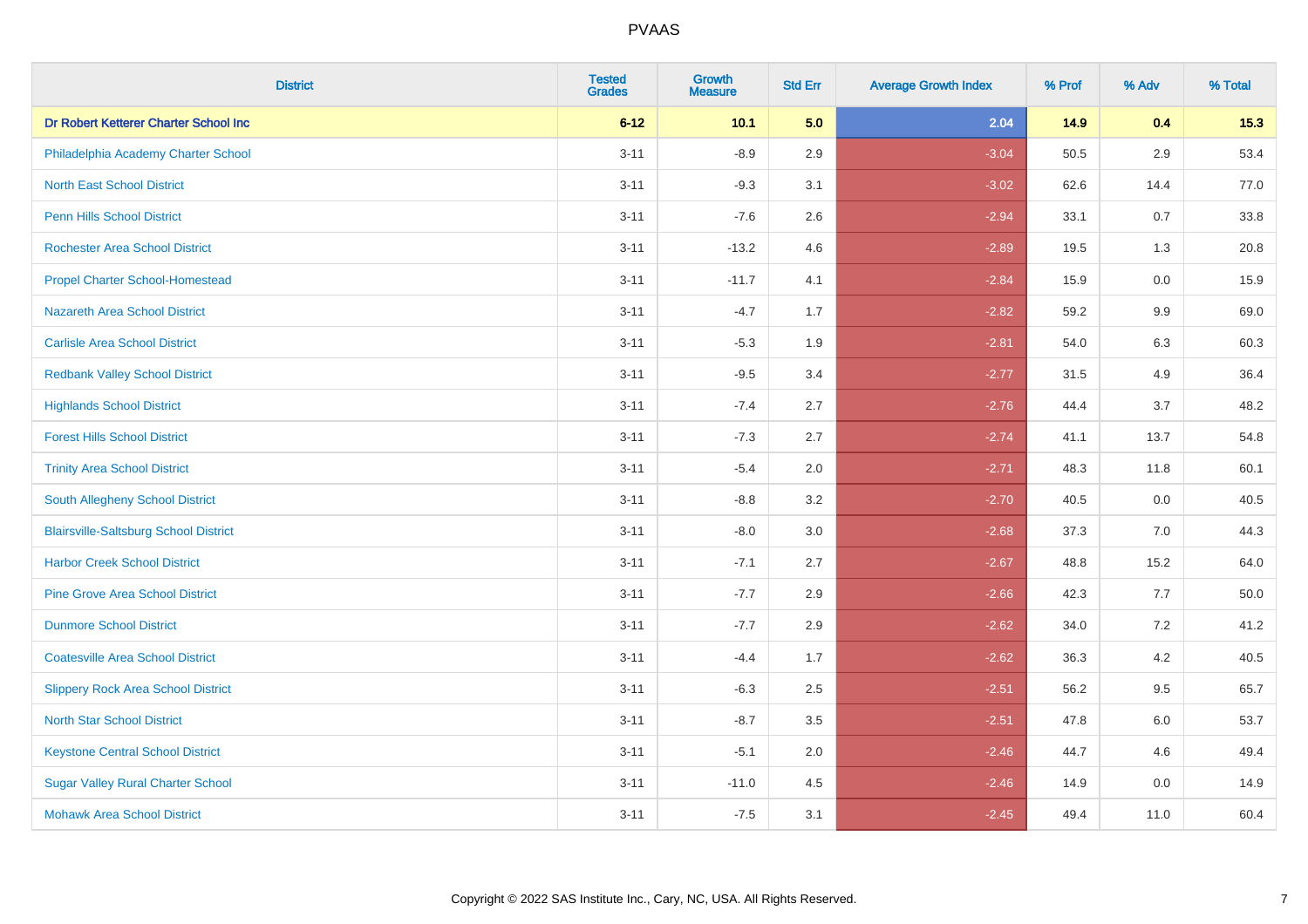| <b>District</b>                              | <b>Tested</b><br><b>Grades</b> | <b>Growth</b><br><b>Measure</b> | <b>Std Err</b> | <b>Average Growth Index</b> | % Prof | % Adv   | % Total |
|----------------------------------------------|--------------------------------|---------------------------------|----------------|-----------------------------|--------|---------|---------|
| Dr Robert Ketterer Charter School Inc        | $6 - 12$                       | 10.1                            | 5.0            | 2.04                        | 14.9   | 0.4     | 15.3    |
| Philadelphia Academy Charter School          | $3 - 11$                       | $-8.9$                          | 2.9            | $-3.04$                     | 50.5   | $2.9\,$ | 53.4    |
| <b>North East School District</b>            | $3 - 11$                       | $-9.3$                          | 3.1            | $-3.02$                     | 62.6   | 14.4    | 77.0    |
| <b>Penn Hills School District</b>            | $3 - 11$                       | $-7.6$                          | 2.6            | $-2.94$                     | 33.1   | $0.7\,$ | 33.8    |
| <b>Rochester Area School District</b>        | $3 - 11$                       | $-13.2$                         | 4.6            | $-2.89$                     | 19.5   | 1.3     | 20.8    |
| <b>Propel Charter School-Homestead</b>       | $3 - 11$                       | $-11.7$                         | 4.1            | $-2.84$                     | 15.9   | 0.0     | 15.9    |
| Nazareth Area School District                | $3 - 11$                       | $-4.7$                          | 1.7            | $-2.82$                     | 59.2   | 9.9     | 69.0    |
| <b>Carlisle Area School District</b>         | $3 - 11$                       | $-5.3$                          | 1.9            | $-2.81$                     | 54.0   | 6.3     | 60.3    |
| <b>Redbank Valley School District</b>        | $3 - 11$                       | $-9.5$                          | 3.4            | $-2.77$                     | 31.5   | 4.9     | 36.4    |
| <b>Highlands School District</b>             | $3 - 11$                       | $-7.4$                          | 2.7            | $-2.76$                     | 44.4   | 3.7     | 48.2    |
| <b>Forest Hills School District</b>          | $3 - 11$                       | $-7.3$                          | 2.7            | $-2.74$                     | 41.1   | 13.7    | 54.8    |
| <b>Trinity Area School District</b>          | $3 - 11$                       | $-5.4$                          | 2.0            | $-2.71$                     | 48.3   | 11.8    | 60.1    |
| South Allegheny School District              | $3 - 11$                       | $-8.8$                          | 3.2            | $-2.70$                     | 40.5   | 0.0     | 40.5    |
| <b>Blairsville-Saltsburg School District</b> | $3 - 11$                       | $-8.0$                          | 3.0            | $-2.68$                     | 37.3   | 7.0     | 44.3    |
| <b>Harbor Creek School District</b>          | $3 - 11$                       | $-7.1$                          | 2.7            | $-2.67$                     | 48.8   | 15.2    | 64.0    |
| <b>Pine Grove Area School District</b>       | $3 - 11$                       | $-7.7$                          | 2.9            | $-2.66$                     | 42.3   | 7.7     | 50.0    |
| <b>Dunmore School District</b>               | $3 - 11$                       | $-7.7$                          | 2.9            | $-2.62$                     | 34.0   | $7.2\,$ | 41.2    |
| <b>Coatesville Area School District</b>      | $3 - 11$                       | $-4.4$                          | 1.7            | $-2.62$                     | 36.3   | 4.2     | 40.5    |
| <b>Slippery Rock Area School District</b>    | $3 - 11$                       | $-6.3$                          | 2.5            | $-2.51$                     | 56.2   | 9.5     | 65.7    |
| <b>North Star School District</b>            | $3 - 11$                       | $-8.7$                          | 3.5            | $-2.51$                     | 47.8   | 6.0     | 53.7    |
| <b>Keystone Central School District</b>      | $3 - 11$                       | $-5.1$                          | 2.0            | $-2.46$                     | 44.7   | 4.6     | 49.4    |
| <b>Sugar Valley Rural Charter School</b>     | $3 - 11$                       | $-11.0$                         | 4.5            | $-2.46$                     | 14.9   | 0.0     | 14.9    |
| <b>Mohawk Area School District</b>           | $3 - 11$                       | $-7.5$                          | 3.1            | $-2.45$                     | 49.4   | 11.0    | 60.4    |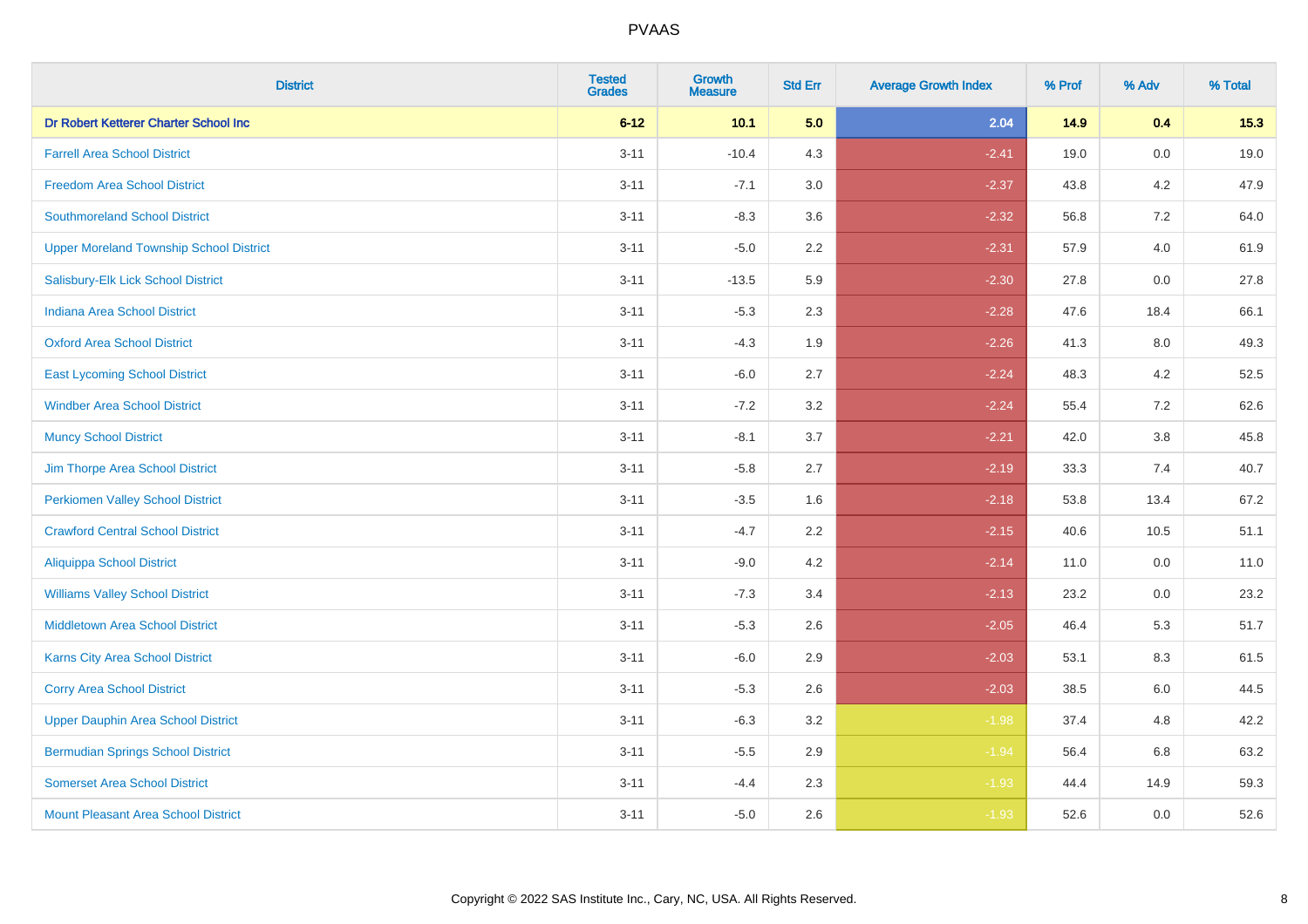| <b>District</b>                                | <b>Tested</b><br><b>Grades</b> | <b>Growth</b><br><b>Measure</b> | <b>Std Err</b> | <b>Average Growth Index</b> | % Prof | % Adv   | % Total |
|------------------------------------------------|--------------------------------|---------------------------------|----------------|-----------------------------|--------|---------|---------|
| Dr Robert Ketterer Charter School Inc          | $6 - 12$                       | 10.1                            | 5.0            | 2.04                        | 14.9   | 0.4     | 15.3    |
| <b>Farrell Area School District</b>            | $3 - 11$                       | $-10.4$                         | 4.3            | $-2.41$                     | 19.0   | $0.0\,$ | 19.0    |
| <b>Freedom Area School District</b>            | $3 - 11$                       | $-7.1$                          | 3.0            | $-2.37$                     | 43.8   | 4.2     | 47.9    |
| <b>Southmoreland School District</b>           | $3 - 11$                       | $-8.3$                          | 3.6            | $-2.32$                     | 56.8   | 7.2     | 64.0    |
| <b>Upper Moreland Township School District</b> | $3 - 11$                       | $-5.0$                          | 2.2            | $-2.31$                     | 57.9   | 4.0     | 61.9    |
| Salisbury-Elk Lick School District             | $3 - 11$                       | $-13.5$                         | 5.9            | $-2.30$                     | 27.8   | 0.0     | 27.8    |
| <b>Indiana Area School District</b>            | $3 - 11$                       | $-5.3$                          | 2.3            | $-2.28$                     | 47.6   | 18.4    | 66.1    |
| <b>Oxford Area School District</b>             | $3 - 11$                       | $-4.3$                          | 1.9            | $-2.26$                     | 41.3   | 8.0     | 49.3    |
| <b>East Lycoming School District</b>           | $3 - 11$                       | $-6.0$                          | 2.7            | $-2.24$                     | 48.3   | 4.2     | 52.5    |
| <b>Windber Area School District</b>            | $3 - 11$                       | $-7.2$                          | 3.2            | $-2.24$                     | 55.4   | 7.2     | 62.6    |
| <b>Muncy School District</b>                   | $3 - 11$                       | $-8.1$                          | 3.7            | $-2.21$                     | 42.0   | 3.8     | 45.8    |
| Jim Thorpe Area School District                | $3 - 11$                       | $-5.8$                          | 2.7            | $-2.19$                     | 33.3   | 7.4     | 40.7    |
| <b>Perkiomen Valley School District</b>        | $3 - 11$                       | $-3.5$                          | 1.6            | $-2.18$                     | 53.8   | 13.4    | 67.2    |
| <b>Crawford Central School District</b>        | $3 - 11$                       | $-4.7$                          | 2.2            | $-2.15$                     | 40.6   | 10.5    | 51.1    |
| <b>Aliquippa School District</b>               | $3 - 11$                       | $-9.0$                          | 4.2            | $-2.14$                     | 11.0   | 0.0     | 11.0    |
| <b>Williams Valley School District</b>         | $3 - 11$                       | $-7.3$                          | 3.4            | $-2.13$                     | 23.2   | $0.0\,$ | 23.2    |
| <b>Middletown Area School District</b>         | $3 - 11$                       | $-5.3$                          | 2.6            | $-2.05$                     | 46.4   | 5.3     | 51.7    |
| <b>Karns City Area School District</b>         | $3 - 11$                       | $-6.0$                          | 2.9            | $-2.03$                     | 53.1   | 8.3     | 61.5    |
| <b>Corry Area School District</b>              | $3 - 11$                       | $-5.3$                          | 2.6            | $-2.03$                     | 38.5   | 6.0     | 44.5    |
| <b>Upper Dauphin Area School District</b>      | $3 - 11$                       | $-6.3$                          | 3.2            | $-1.98$                     | 37.4   | 4.8     | 42.2    |
| <b>Bermudian Springs School District</b>       | $3 - 11$                       | $-5.5$                          | 2.9            | $-1.94$                     | 56.4   | 6.8     | 63.2    |
| <b>Somerset Area School District</b>           | $3 - 11$                       | $-4.4$                          | 2.3            | $-1.93$                     | 44.4   | 14.9    | 59.3    |
| <b>Mount Pleasant Area School District</b>     | $3 - 11$                       | $-5.0$                          | 2.6            | $-1.93$                     | 52.6   | 0.0     | 52.6    |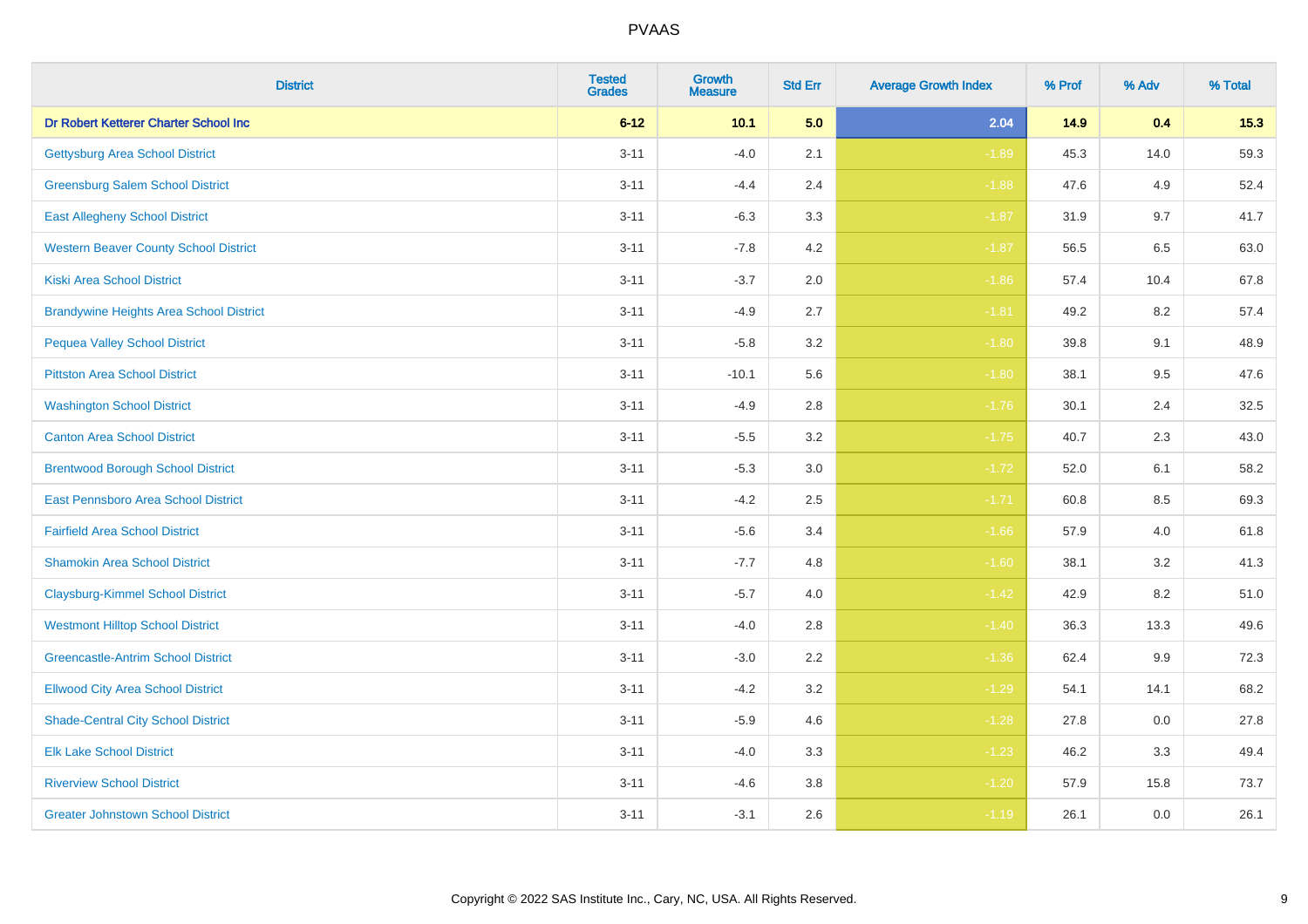| <b>District</b>                                | <b>Tested</b><br><b>Grades</b> | <b>Growth</b><br><b>Measure</b> | <b>Std Err</b> | <b>Average Growth Index</b> | % Prof | % Adv   | % Total |
|------------------------------------------------|--------------------------------|---------------------------------|----------------|-----------------------------|--------|---------|---------|
| Dr Robert Ketterer Charter School Inc          | $6 - 12$                       | 10.1                            | 5.0            | 2.04                        | 14.9   | 0.4     | 15.3    |
| <b>Gettysburg Area School District</b>         | $3 - 11$                       | $-4.0$                          | 2.1            | $-1.89$                     | 45.3   | 14.0    | 59.3    |
| <b>Greensburg Salem School District</b>        | $3 - 11$                       | $-4.4$                          | 2.4            | $-1.88$                     | 47.6   | 4.9     | 52.4    |
| <b>East Allegheny School District</b>          | $3 - 11$                       | $-6.3$                          | 3.3            | $-1.87$                     | 31.9   | 9.7     | 41.7    |
| <b>Western Beaver County School District</b>   | $3 - 11$                       | $-7.8$                          | 4.2            | $-1.87$                     | 56.5   | 6.5     | 63.0    |
| <b>Kiski Area School District</b>              | $3 - 11$                       | $-3.7$                          | 2.0            | $-1.86$                     | 57.4   | 10.4    | 67.8    |
| <b>Brandywine Heights Area School District</b> | $3 - 11$                       | $-4.9$                          | 2.7            | $-1.81$                     | 49.2   | 8.2     | 57.4    |
| <b>Pequea Valley School District</b>           | $3 - 11$                       | $-5.8$                          | 3.2            | $-1.80$                     | 39.8   | 9.1     | 48.9    |
| <b>Pittston Area School District</b>           | $3 - 11$                       | $-10.1$                         | 5.6            | $-1.80$                     | 38.1   | 9.5     | 47.6    |
| <b>Washington School District</b>              | $3 - 11$                       | $-4.9$                          | 2.8            | $-1.76$                     | 30.1   | 2.4     | 32.5    |
| <b>Canton Area School District</b>             | $3 - 11$                       | $-5.5$                          | 3.2            | $-1.75$                     | 40.7   | 2.3     | 43.0    |
| <b>Brentwood Borough School District</b>       | $3 - 11$                       | $-5.3$                          | 3.0            | $-1.72$                     | 52.0   | 6.1     | 58.2    |
| East Pennsboro Area School District            | $3 - 11$                       | $-4.2$                          | 2.5            | $-1.71$                     | 60.8   | $8.5\,$ | 69.3    |
| <b>Fairfield Area School District</b>          | $3 - 11$                       | $-5.6$                          | 3.4            | $-1.66$                     | 57.9   | 4.0     | 61.8    |
| <b>Shamokin Area School District</b>           | $3 - 11$                       | $-7.7$                          | 4.8            | $-1.60$                     | 38.1   | 3.2     | 41.3    |
| <b>Claysburg-Kimmel School District</b>        | $3 - 11$                       | $-5.7$                          | 4.0            | $-1.42$                     | 42.9   | 8.2     | 51.0    |
| <b>Westmont Hilltop School District</b>        | $3 - 11$                       | $-4.0$                          | 2.8            | $-1.40$                     | 36.3   | 13.3    | 49.6    |
| <b>Greencastle-Antrim School District</b>      | $3 - 11$                       | $-3.0$                          | 2.2            | $-1.36$                     | 62.4   | 9.9     | 72.3    |
| <b>Ellwood City Area School District</b>       | $3 - 11$                       | $-4.2$                          | 3.2            | $-1.29$                     | 54.1   | 14.1    | 68.2    |
| <b>Shade-Central City School District</b>      | $3 - 11$                       | $-5.9$                          | 4.6            | $-1.28$                     | 27.8   | 0.0     | 27.8    |
| <b>Elk Lake School District</b>                | $3 - 11$                       | $-4.0$                          | 3.3            | $-1.23$                     | 46.2   | 3.3     | 49.4    |
| <b>Riverview School District</b>               | $3 - 11$                       | $-4.6$                          | 3.8            | $-1.20$                     | 57.9   | 15.8    | 73.7    |
| <b>Greater Johnstown School District</b>       | $3 - 11$                       | $-3.1$                          | 2.6            | $-1.19$                     | 26.1   | 0.0     | 26.1    |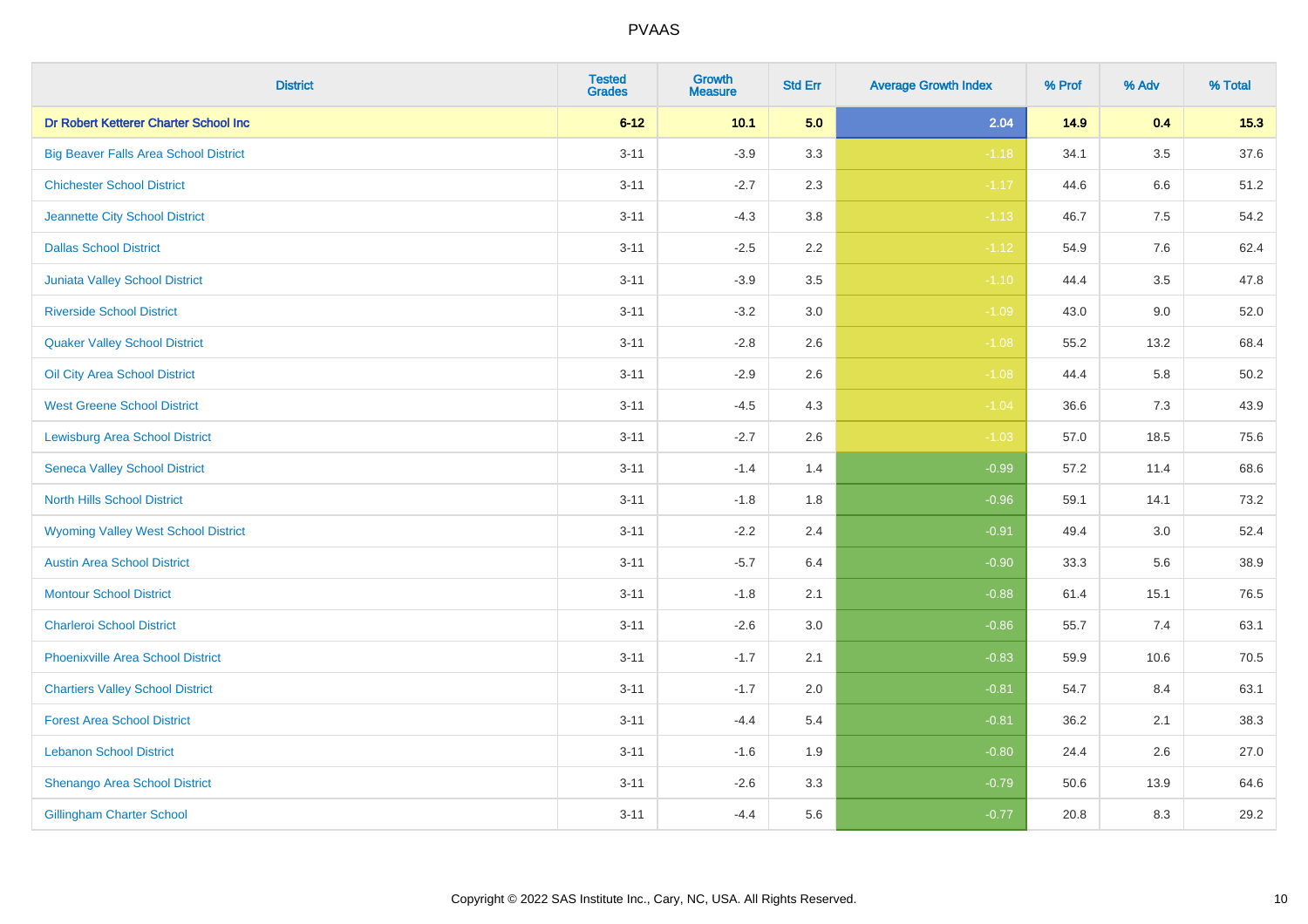| <b>District</b>                              | <b>Tested</b><br><b>Grades</b> | Growth<br><b>Measure</b> | <b>Std Err</b> | <b>Average Growth Index</b> | % Prof | % Adv   | % Total  |
|----------------------------------------------|--------------------------------|--------------------------|----------------|-----------------------------|--------|---------|----------|
| Dr Robert Ketterer Charter School Inc        | $6 - 12$                       | 10.1                     | 5.0            | 2.04                        | 14.9   | 0.4     | 15.3     |
| <b>Big Beaver Falls Area School District</b> | $3 - 11$                       | $-3.9$                   | 3.3            | $-1.18$                     | 34.1   | $3.5\,$ | 37.6     |
| <b>Chichester School District</b>            | $3 - 11$                       | $-2.7$                   | 2.3            | $-1.17$                     | 44.6   | 6.6     | 51.2     |
| Jeannette City School District               | $3 - 11$                       | $-4.3$                   | $3.8\,$        | $-1.13$                     | 46.7   | $7.5\,$ | 54.2     |
| <b>Dallas School District</b>                | $3 - 11$                       | $-2.5$                   | 2.2            | $-1.12$                     | 54.9   | 7.6     | 62.4     |
| <b>Juniata Valley School District</b>        | $3 - 11$                       | $-3.9$                   | 3.5            | $-1.10$                     | 44.4   | 3.5     | 47.8     |
| <b>Riverside School District</b>             | $3 - 11$                       | $-3.2$                   | 3.0            | $-1.09$                     | 43.0   | 9.0     | 52.0     |
| <b>Quaker Valley School District</b>         | $3 - 11$                       | $-2.8$                   | 2.6            | $-1.08$                     | 55.2   | 13.2    | 68.4     |
| Oil City Area School District                | $3 - 11$                       | $-2.9$                   | 2.6            | $-1.08$                     | 44.4   | 5.8     | $50.2\,$ |
| <b>West Greene School District</b>           | $3 - 11$                       | $-4.5$                   | 4.3            | $-1.04$                     | 36.6   | 7.3     | 43.9     |
| <b>Lewisburg Area School District</b>        | $3 - 11$                       | $-2.7$                   | 2.6            | $-1.03$                     | 57.0   | 18.5    | 75.6     |
| <b>Seneca Valley School District</b>         | $3 - 11$                       | $-1.4$                   | 1.4            | $-0.99$                     | 57.2   | 11.4    | 68.6     |
| <b>North Hills School District</b>           | $3 - 11$                       | $-1.8$                   | 1.8            | $-0.96$                     | 59.1   | 14.1    | 73.2     |
| <b>Wyoming Valley West School District</b>   | $3 - 11$                       | $-2.2$                   | 2.4            | $-0.91$                     | 49.4   | 3.0     | 52.4     |
| <b>Austin Area School District</b>           | $3 - 11$                       | $-5.7$                   | 6.4            | $-0.90$                     | 33.3   | 5.6     | 38.9     |
| <b>Montour School District</b>               | $3 - 11$                       | $-1.8$                   | 2.1            | $-0.88$                     | 61.4   | 15.1    | 76.5     |
| <b>Charleroi School District</b>             | $3 - 11$                       | $-2.6$                   | 3.0            | $-0.86$                     | 55.7   | 7.4     | 63.1     |
| <b>Phoenixville Area School District</b>     | $3 - 11$                       | $-1.7$                   | 2.1            | $-0.83$                     | 59.9   | 10.6    | 70.5     |
| <b>Chartiers Valley School District</b>      | $3 - 11$                       | $-1.7$                   | 2.0            | $-0.81$                     | 54.7   | 8.4     | 63.1     |
| <b>Forest Area School District</b>           | $3 - 11$                       | $-4.4$                   | 5.4            | $-0.81$                     | 36.2   | 2.1     | 38.3     |
| <b>Lebanon School District</b>               | $3 - 11$                       | $-1.6$                   | 1.9            | $-0.80$                     | 24.4   | 2.6     | 27.0     |
| Shenango Area School District                | $3 - 11$                       | $-2.6$                   | 3.3            | $-0.79$                     | 50.6   | 13.9    | 64.6     |
| <b>Gillingham Charter School</b>             | $3 - 11$                       | $-4.4$                   | 5.6            | $-0.77$                     | 20.8   | 8.3     | 29.2     |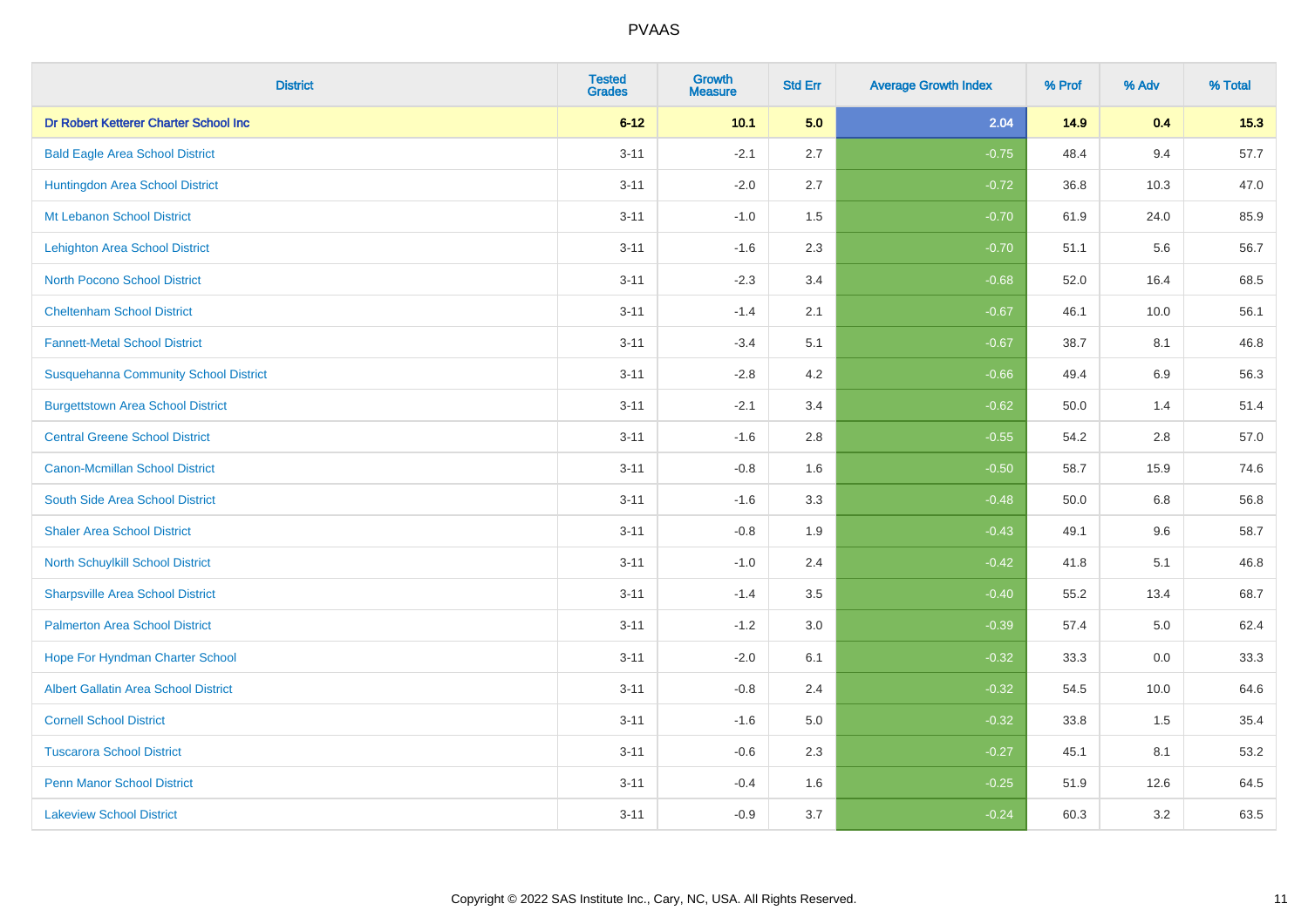| <b>District</b>                              | <b>Tested</b><br><b>Grades</b> | <b>Growth</b><br><b>Measure</b> | <b>Std Err</b> | <b>Average Growth Index</b> | % Prof | % Adv   | % Total |
|----------------------------------------------|--------------------------------|---------------------------------|----------------|-----------------------------|--------|---------|---------|
| Dr Robert Ketterer Charter School Inc        | $6 - 12$                       | 10.1                            | 5.0            | 2.04                        | 14.9   | 0.4     | 15.3    |
| <b>Bald Eagle Area School District</b>       | $3 - 11$                       | $-2.1$                          | 2.7            | $-0.75$                     | 48.4   | 9.4     | 57.7    |
| Huntingdon Area School District              | $3 - 11$                       | $-2.0$                          | 2.7            | $-0.72$                     | 36.8   | 10.3    | 47.0    |
| Mt Lebanon School District                   | $3 - 11$                       | $-1.0$                          | 1.5            | $-0.70$                     | 61.9   | 24.0    | 85.9    |
| <b>Lehighton Area School District</b>        | $3 - 11$                       | $-1.6$                          | 2.3            | $-0.70$                     | 51.1   | 5.6     | 56.7    |
| <b>North Pocono School District</b>          | $3 - 11$                       | $-2.3$                          | 3.4            | $-0.68$                     | 52.0   | 16.4    | 68.5    |
| <b>Cheltenham School District</b>            | $3 - 11$                       | $-1.4$                          | 2.1            | $-0.67$                     | 46.1   | 10.0    | 56.1    |
| <b>Fannett-Metal School District</b>         | $3 - 11$                       | $-3.4$                          | 5.1            | $-0.67$                     | 38.7   | 8.1     | 46.8    |
| <b>Susquehanna Community School District</b> | $3 - 11$                       | $-2.8$                          | 4.2            | $-0.66$                     | 49.4   | 6.9     | 56.3    |
| <b>Burgettstown Area School District</b>     | $3 - 11$                       | $-2.1$                          | 3.4            | $-0.62$                     | 50.0   | 1.4     | 51.4    |
| <b>Central Greene School District</b>        | $3 - 11$                       | $-1.6$                          | 2.8            | $-0.55$                     | 54.2   | 2.8     | 57.0    |
| <b>Canon-Mcmillan School District</b>        | $3 - 11$                       | $-0.8$                          | 1.6            | $-0.50$                     | 58.7   | 15.9    | 74.6    |
| South Side Area School District              | $3 - 11$                       | $-1.6$                          | 3.3            | $-0.48$                     | 50.0   | $6.8\,$ | 56.8    |
| <b>Shaler Area School District</b>           | $3 - 11$                       | $-0.8$                          | 1.9            | $-0.43$                     | 49.1   | 9.6     | 58.7    |
| North Schuylkill School District             | $3 - 11$                       | $-1.0$                          | 2.4            | $-0.42$                     | 41.8   | 5.1     | 46.8    |
| <b>Sharpsville Area School District</b>      | $3 - 11$                       | $-1.4$                          | 3.5            | $-0.40$                     | 55.2   | 13.4    | 68.7    |
| <b>Palmerton Area School District</b>        | $3 - 11$                       | $-1.2$                          | 3.0            | $-0.39$                     | 57.4   | $5.0\,$ | 62.4    |
| Hope For Hyndman Charter School              | $3 - 11$                       | $-2.0$                          | 6.1            | $-0.32$                     | 33.3   | 0.0     | 33.3    |
| Albert Gallatin Area School District         | $3 - 11$                       | $-0.8$                          | 2.4            | $-0.32$                     | 54.5   | 10.0    | 64.6    |
| <b>Cornell School District</b>               | $3 - 11$                       | $-1.6$                          | 5.0            | $-0.32$                     | 33.8   | 1.5     | 35.4    |
| <b>Tuscarora School District</b>             | $3 - 11$                       | $-0.6$                          | 2.3            | $-0.27$                     | 45.1   | 8.1     | 53.2    |
| <b>Penn Manor School District</b>            | $3 - 11$                       | $-0.4$                          | 1.6            | $-0.25$                     | 51.9   | 12.6    | 64.5    |
| <b>Lakeview School District</b>              | $3 - 11$                       | $-0.9$                          | 3.7            | $-0.24$                     | 60.3   | 3.2     | 63.5    |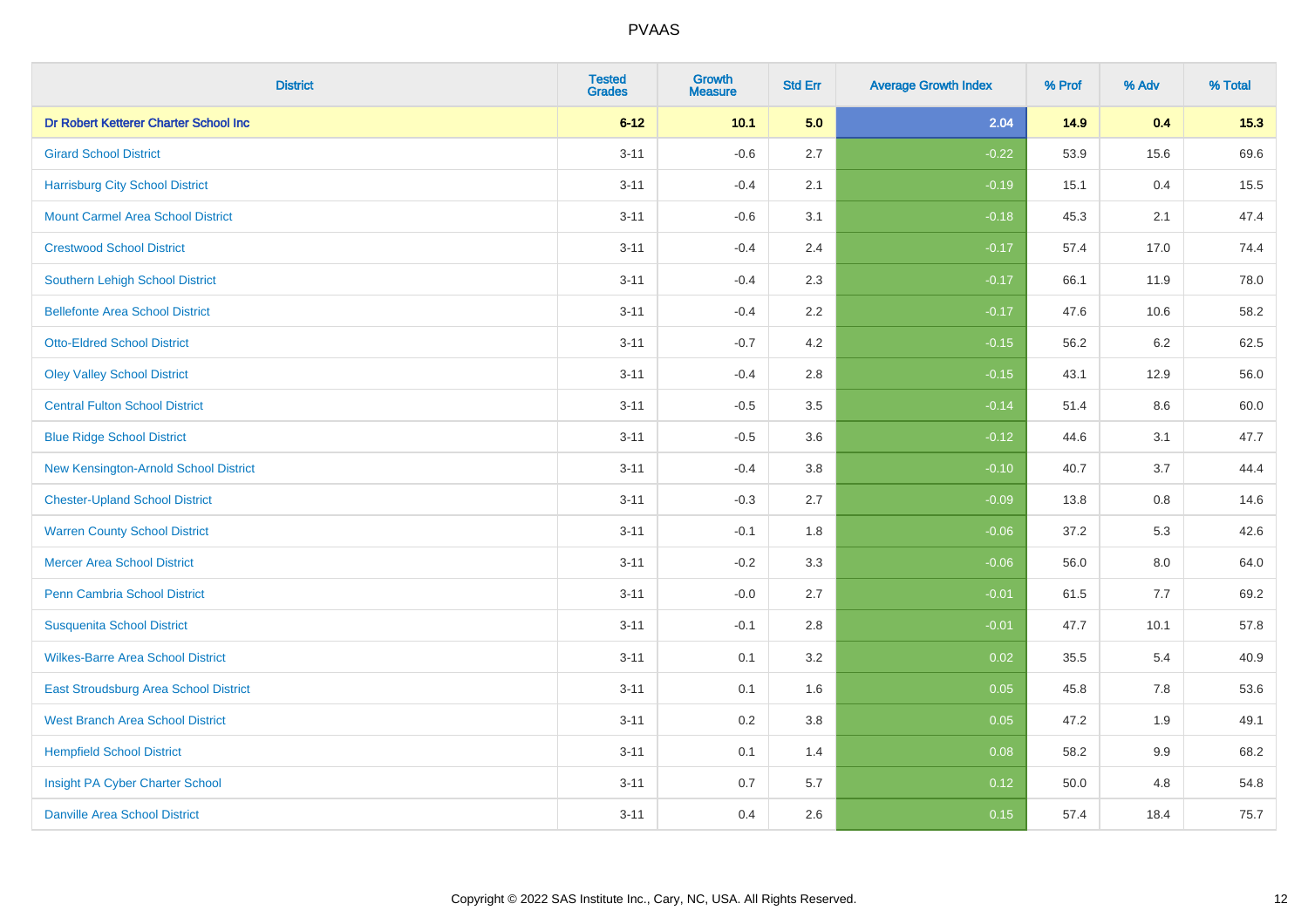| <b>District</b>                          | <b>Tested</b><br><b>Grades</b> | <b>Growth</b><br><b>Measure</b> | <b>Std Err</b> | <b>Average Growth Index</b> | % Prof | % Adv   | % Total |
|------------------------------------------|--------------------------------|---------------------------------|----------------|-----------------------------|--------|---------|---------|
| Dr Robert Ketterer Charter School Inc    | $6 - 12$                       | 10.1                            | 5.0            | 2.04                        | 14.9   | 0.4     | 15.3    |
| <b>Girard School District</b>            | $3 - 11$                       | $-0.6$                          | 2.7            | $-0.22$                     | 53.9   | 15.6    | 69.6    |
| <b>Harrisburg City School District</b>   | $3 - 11$                       | $-0.4$                          | 2.1            | $-0.19$                     | 15.1   | 0.4     | 15.5    |
| <b>Mount Carmel Area School District</b> | $3 - 11$                       | $-0.6$                          | 3.1            | $-0.18$                     | 45.3   | 2.1     | 47.4    |
| <b>Crestwood School District</b>         | $3 - 11$                       | $-0.4$                          | 2.4            | $-0.17$                     | 57.4   | 17.0    | 74.4    |
| <b>Southern Lehigh School District</b>   | $3 - 11$                       | $-0.4$                          | 2.3            | $-0.17$                     | 66.1   | 11.9    | 78.0    |
| <b>Bellefonte Area School District</b>   | $3 - 11$                       | $-0.4$                          | 2.2            | $-0.17$                     | 47.6   | 10.6    | 58.2    |
| <b>Otto-Eldred School District</b>       | $3 - 11$                       | $-0.7$                          | 4.2            | $-0.15$                     | 56.2   | 6.2     | 62.5    |
| <b>Oley Valley School District</b>       | $3 - 11$                       | $-0.4$                          | 2.8            | $-0.15$                     | 43.1   | 12.9    | 56.0    |
| <b>Central Fulton School District</b>    | $3 - 11$                       | $-0.5$                          | 3.5            | $-0.14$                     | 51.4   | 8.6     | 60.0    |
| <b>Blue Ridge School District</b>        | $3 - 11$                       | $-0.5$                          | 3.6            | $-0.12$                     | 44.6   | 3.1     | 47.7    |
| New Kensington-Arnold School District    | $3 - 11$                       | $-0.4$                          | 3.8            | $-0.10$                     | 40.7   | 3.7     | 44.4    |
| <b>Chester-Upland School District</b>    | $3 - 11$                       | $-0.3$                          | 2.7            | $-0.09$                     | 13.8   | $0.8\,$ | 14.6    |
| <b>Warren County School District</b>     | $3 - 11$                       | $-0.1$                          | 1.8            | $-0.06$                     | 37.2   | 5.3     | 42.6    |
| <b>Mercer Area School District</b>       | $3 - 11$                       | $-0.2$                          | 3.3            | $-0.06$                     | 56.0   | $8.0\,$ | 64.0    |
| Penn Cambria School District             | $3 - 11$                       | $-0.0$                          | 2.7            | $-0.01$                     | 61.5   | 7.7     | 69.2    |
| <b>Susquenita School District</b>        | $3 - 11$                       | $-0.1$                          | 2.8            | $-0.01$                     | 47.7   | 10.1    | 57.8    |
| <b>Wilkes-Barre Area School District</b> | $3 - 11$                       | 0.1                             | 3.2            | 0.02                        | 35.5   | 5.4     | 40.9    |
| East Stroudsburg Area School District    | $3 - 11$                       | 0.1                             | 1.6            | 0.05                        | 45.8   | 7.8     | 53.6    |
| <b>West Branch Area School District</b>  | $3 - 11$                       | 0.2                             | 3.8            | 0.05                        | 47.2   | 1.9     | 49.1    |
| <b>Hempfield School District</b>         | $3 - 11$                       | 0.1                             | 1.4            | 0.08                        | 58.2   | 9.9     | 68.2    |
| Insight PA Cyber Charter School          | $3 - 11$                       | 0.7                             | 5.7            | 0.12                        | 50.0   | 4.8     | 54.8    |
| <b>Danville Area School District</b>     | $3 - 11$                       | 0.4                             | 2.6            | 0.15                        | 57.4   | 18.4    | 75.7    |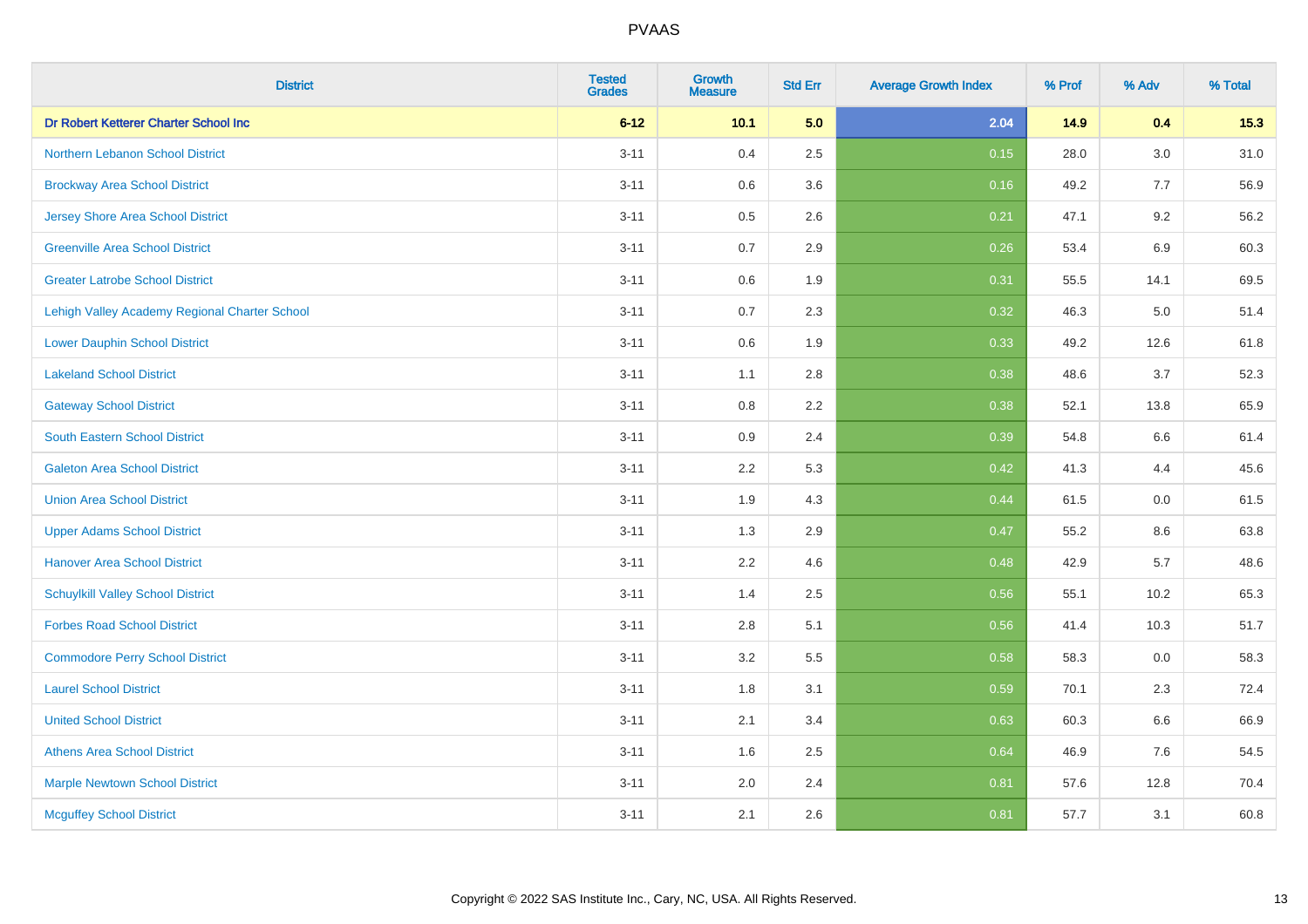| <b>District</b>                               | <b>Tested</b><br><b>Grades</b> | Growth<br>Measure | <b>Std Err</b> | <b>Average Growth Index</b> | % Prof | % Adv | % Total |
|-----------------------------------------------|--------------------------------|-------------------|----------------|-----------------------------|--------|-------|---------|
| Dr Robert Ketterer Charter School Inc         | $6 - 12$                       | 10.1              | 5.0            | 2.04                        | 14.9   | 0.4   | 15.3    |
| Northern Lebanon School District              | $3 - 11$                       | 0.4               | 2.5            | 0.15                        | 28.0   | 3.0   | 31.0    |
| <b>Brockway Area School District</b>          | $3 - 11$                       | 0.6               | 3.6            | 0.16                        | 49.2   | 7.7   | 56.9    |
| Jersey Shore Area School District             | $3 - 11$                       | 0.5               | 2.6            | 0.21                        | 47.1   | 9.2   | 56.2    |
| <b>Greenville Area School District</b>        | $3 - 11$                       | 0.7               | 2.9            | 0.26                        | 53.4   | 6.9   | 60.3    |
| <b>Greater Latrobe School District</b>        | $3 - 11$                       | $0.6\,$           | 1.9            | 0.31                        | 55.5   | 14.1  | 69.5    |
| Lehigh Valley Academy Regional Charter School | $3 - 11$                       | 0.7               | 2.3            | 0.32                        | 46.3   | 5.0   | 51.4    |
| <b>Lower Dauphin School District</b>          | $3 - 11$                       | 0.6               | 1.9            | 0.33                        | 49.2   | 12.6  | 61.8    |
| <b>Lakeland School District</b>               | $3 - 11$                       | 1.1               | 2.8            | 0.38                        | 48.6   | 3.7   | 52.3    |
| <b>Gateway School District</b>                | $3 - 11$                       | 0.8               | 2.2            | 0.38                        | 52.1   | 13.8  | 65.9    |
| <b>South Eastern School District</b>          | $3 - 11$                       | 0.9               | 2.4            | 0.39                        | 54.8   | 6.6   | 61.4    |
| <b>Galeton Area School District</b>           | $3 - 11$                       | 2.2               | 5.3            | 0.42                        | 41.3   | 4.4   | 45.6    |
| <b>Union Area School District</b>             | $3 - 11$                       | 1.9               | 4.3            | 0.44                        | 61.5   | 0.0   | 61.5    |
| <b>Upper Adams School District</b>            | $3 - 11$                       | 1.3               | 2.9            | 0.47                        | 55.2   | 8.6   | 63.8    |
| <b>Hanover Area School District</b>           | $3 - 11$                       | 2.2               | 4.6            | 0.48                        | 42.9   | 5.7   | 48.6    |
| <b>Schuylkill Valley School District</b>      | $3 - 11$                       | 1.4               | 2.5            | 0.56                        | 55.1   | 10.2  | 65.3    |
| <b>Forbes Road School District</b>            | $3 - 11$                       | 2.8               | 5.1            | 0.56                        | 41.4   | 10.3  | 51.7    |
| <b>Commodore Perry School District</b>        | $3 - 11$                       | 3.2               | 5.5            | 0.58                        | 58.3   | 0.0   | 58.3    |
| <b>Laurel School District</b>                 | $3 - 11$                       | 1.8               | 3.1            | 0.59                        | 70.1   | 2.3   | 72.4    |
| <b>United School District</b>                 | $3 - 11$                       | 2.1               | 3.4            | 0.63                        | 60.3   | 6.6   | 66.9    |
| <b>Athens Area School District</b>            | $3 - 11$                       | 1.6               | 2.5            | 0.64                        | 46.9   | 7.6   | 54.5    |
| <b>Marple Newtown School District</b>         | $3 - 11$                       | 2.0               | 2.4            | 0.81                        | 57.6   | 12.8  | 70.4    |
| <b>Mcguffey School District</b>               | $3 - 11$                       | 2.1               | 2.6            | 0.81                        | 57.7   | 3.1   | 60.8    |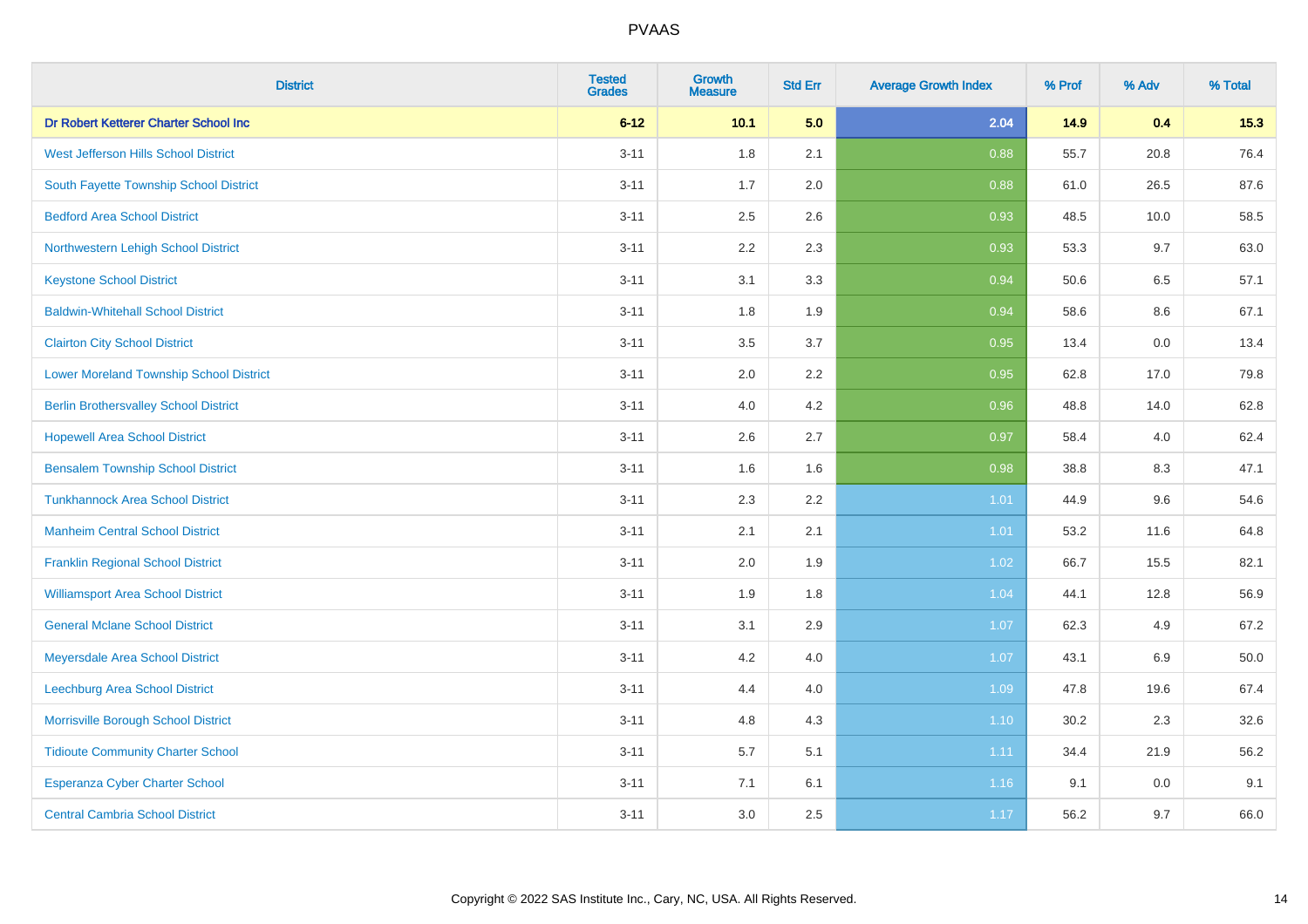| <b>District</b>                                | <b>Tested</b><br><b>Grades</b> | <b>Growth</b><br><b>Measure</b> | <b>Std Err</b> | <b>Average Growth Index</b> | % Prof | % Adv | % Total |
|------------------------------------------------|--------------------------------|---------------------------------|----------------|-----------------------------|--------|-------|---------|
| Dr Robert Ketterer Charter School Inc          | $6 - 12$                       | 10.1                            | 5.0            | 2.04                        | 14.9   | 0.4   | 15.3    |
| West Jefferson Hills School District           | $3 - 11$                       | 1.8                             | 2.1            | 0.88                        | 55.7   | 20.8  | 76.4    |
| South Fayette Township School District         | $3 - 11$                       | 1.7                             | 2.0            | 0.88                        | 61.0   | 26.5  | 87.6    |
| <b>Bedford Area School District</b>            | $3 - 11$                       | 2.5                             | 2.6            | 0.93                        | 48.5   | 10.0  | 58.5    |
| Northwestern Lehigh School District            | $3 - 11$                       | 2.2                             | 2.3            | 0.93                        | 53.3   | 9.7   | 63.0    |
| <b>Keystone School District</b>                | $3 - 11$                       | 3.1                             | 3.3            | 0.94                        | 50.6   | 6.5   | 57.1    |
| <b>Baldwin-Whitehall School District</b>       | $3 - 11$                       | 1.8                             | 1.9            | 0.94                        | 58.6   | 8.6   | 67.1    |
| <b>Clairton City School District</b>           | $3 - 11$                       | 3.5                             | 3.7            | 0.95                        | 13.4   | 0.0   | 13.4    |
| <b>Lower Moreland Township School District</b> | $3 - 11$                       | 2.0                             | 2.2            | 0.95                        | 62.8   | 17.0  | 79.8    |
| <b>Berlin Brothersvalley School District</b>   | $3 - 11$                       | 4.0                             | 4.2            | 0.96                        | 48.8   | 14.0  | 62.8    |
| <b>Hopewell Area School District</b>           | $3 - 11$                       | 2.6                             | 2.7            | 0.97                        | 58.4   | 4.0   | 62.4    |
| <b>Bensalem Township School District</b>       | $3 - 11$                       | 1.6                             | 1.6            | 0.98                        | 38.8   | 8.3   | 47.1    |
| <b>Tunkhannock Area School District</b>        | $3 - 11$                       | 2.3                             | 2.2            | 1.01                        | 44.9   | 9.6   | 54.6    |
| <b>Manheim Central School District</b>         | $3 - 11$                       | 2.1                             | 2.1            | 1.01                        | 53.2   | 11.6  | 64.8    |
| <b>Franklin Regional School District</b>       | $3 - 11$                       | 2.0                             | 1.9            | 1.02                        | 66.7   | 15.5  | 82.1    |
| <b>Williamsport Area School District</b>       | $3 - 11$                       | 1.9                             | 1.8            | 1.04                        | 44.1   | 12.8  | 56.9    |
| <b>General Mclane School District</b>          | $3 - 11$                       | 3.1                             | 2.9            | 1.07                        | 62.3   | 4.9   | 67.2    |
| Meyersdale Area School District                | $3 - 11$                       | 4.2                             | 4.0            | 1.07                        | 43.1   | 6.9   | 50.0    |
| Leechburg Area School District                 | $3 - 11$                       | 4.4                             | 4.0            | 1.09                        | 47.8   | 19.6  | 67.4    |
| Morrisville Borough School District            | $3 - 11$                       | 4.8                             | 4.3            | $1.10$                      | 30.2   | 2.3   | 32.6    |
| <b>Tidioute Community Charter School</b>       | $3 - 11$                       | 5.7                             | 5.1            | 1.11                        | 34.4   | 21.9  | 56.2    |
| Esperanza Cyber Charter School                 | $3 - 11$                       | 7.1                             | 6.1            | 1.16                        | 9.1    | 0.0   | 9.1     |
| <b>Central Cambria School District</b>         | $3 - 11$                       | 3.0                             | 2.5            | 1.17                        | 56.2   | 9.7   | 66.0    |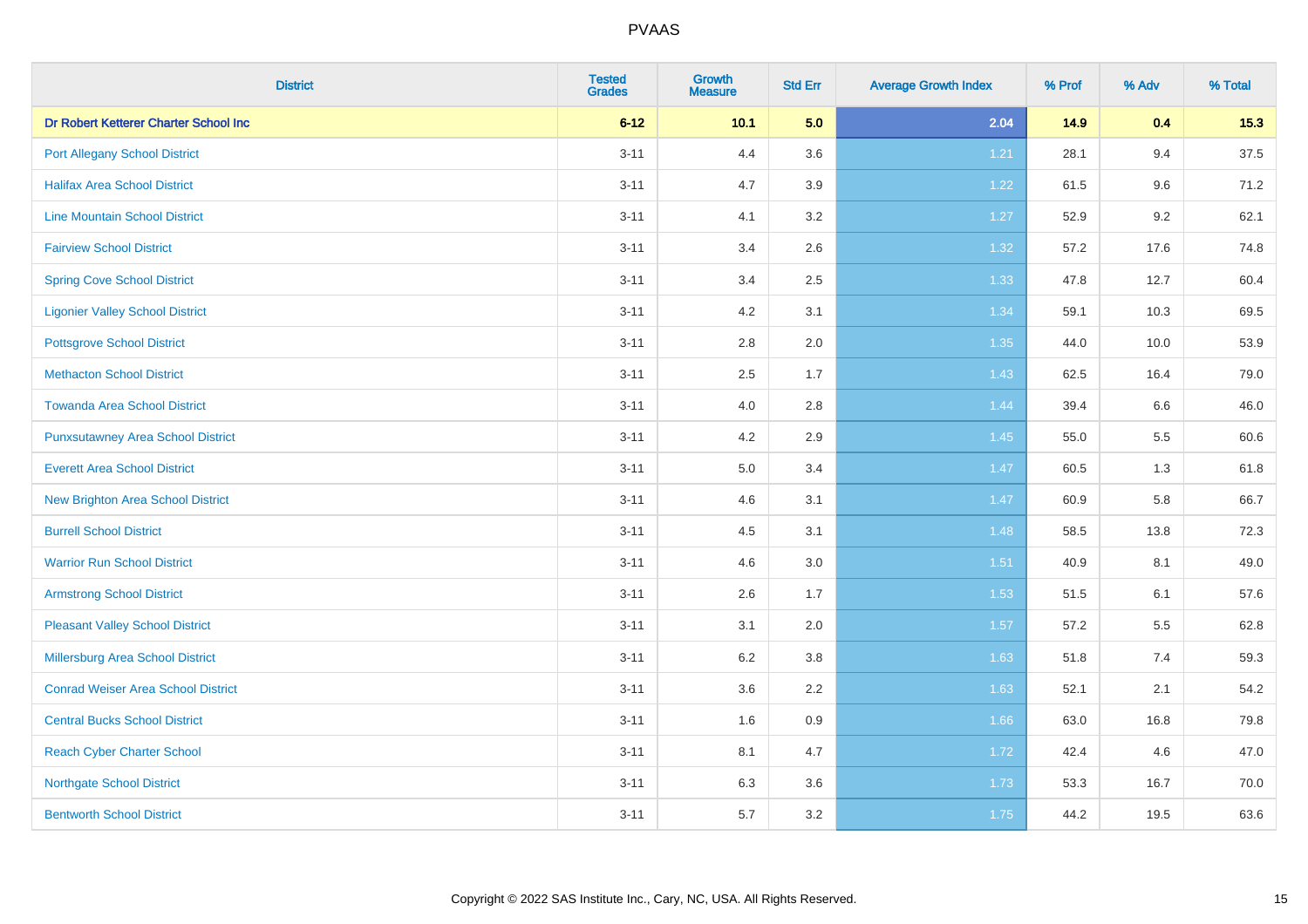| <b>District</b>                           | <b>Tested</b><br><b>Grades</b> | <b>Growth</b><br><b>Measure</b> | <b>Std Err</b> | <b>Average Growth Index</b> | % Prof | % Adv | % Total |
|-------------------------------------------|--------------------------------|---------------------------------|----------------|-----------------------------|--------|-------|---------|
| Dr Robert Ketterer Charter School Inc     | $6 - 12$                       | 10.1                            | 5.0            | 2.04                        | 14.9   | 0.4   | 15.3    |
| <b>Port Allegany School District</b>      | $3 - 11$                       | 4.4                             | 3.6            | 1.21                        | 28.1   | 9.4   | 37.5    |
| <b>Halifax Area School District</b>       | $3 - 11$                       | 4.7                             | 3.9            | 1.22                        | 61.5   | 9.6   | 71.2    |
| <b>Line Mountain School District</b>      | $3 - 11$                       | 4.1                             | 3.2            | 1.27                        | 52.9   | 9.2   | 62.1    |
| <b>Fairview School District</b>           | $3 - 11$                       | 3.4                             | 2.6            | 1.32                        | 57.2   | 17.6  | 74.8    |
| <b>Spring Cove School District</b>        | $3 - 11$                       | 3.4                             | 2.5            | 1.33                        | 47.8   | 12.7  | 60.4    |
| <b>Ligonier Valley School District</b>    | $3 - 11$                       | 4.2                             | 3.1            | 1.34                        | 59.1   | 10.3  | 69.5    |
| <b>Pottsgrove School District</b>         | $3 - 11$                       | 2.8                             | 2.0            | 1.35                        | 44.0   | 10.0  | 53.9    |
| <b>Methacton School District</b>          | $3 - 11$                       | 2.5                             | 1.7            | 1.43                        | 62.5   | 16.4  | 79.0    |
| <b>Towanda Area School District</b>       | $3 - 11$                       | 4.0                             | 2.8            | 1.44                        | 39.4   | 6.6   | 46.0    |
| <b>Punxsutawney Area School District</b>  | $3 - 11$                       | 4.2                             | 2.9            | 1.45                        | 55.0   | 5.5   | 60.6    |
| <b>Everett Area School District</b>       | $3 - 11$                       | 5.0                             | 3.4            | 1.47                        | 60.5   | 1.3   | 61.8    |
| <b>New Brighton Area School District</b>  | $3 - 11$                       | 4.6                             | 3.1            | 1.47                        | 60.9   | 5.8   | 66.7    |
| <b>Burrell School District</b>            | $3 - 11$                       | 4.5                             | 3.1            | 1.48                        | 58.5   | 13.8  | 72.3    |
| <b>Warrior Run School District</b>        | $3 - 11$                       | 4.6                             | 3.0            | 1.51                        | 40.9   | 8.1   | 49.0    |
| <b>Armstrong School District</b>          | $3 - 11$                       | 2.6                             | 1.7            | 1.53                        | 51.5   | 6.1   | 57.6    |
| <b>Pleasant Valley School District</b>    | $3 - 11$                       | 3.1                             | 2.0            | 1.57                        | 57.2   | 5.5   | 62.8    |
| Millersburg Area School District          | $3 - 11$                       | 6.2                             | 3.8            | 1.63                        | 51.8   | 7.4   | 59.3    |
| <b>Conrad Weiser Area School District</b> | $3 - 11$                       | 3.6                             | 2.2            | 1.63                        | 52.1   | 2.1   | 54.2    |
| <b>Central Bucks School District</b>      | $3 - 11$                       | 1.6                             | 0.9            | 1.66                        | 63.0   | 16.8  | 79.8    |
| <b>Reach Cyber Charter School</b>         | $3 - 11$                       | 8.1                             | 4.7            | 1.72                        | 42.4   | 4.6   | 47.0    |
| <b>Northgate School District</b>          | $3 - 11$                       | 6.3                             | 3.6            | 1.73                        | 53.3   | 16.7  | 70.0    |
| <b>Bentworth School District</b>          | $3 - 11$                       | 5.7                             | 3.2            | 1.75                        | 44.2   | 19.5  | 63.6    |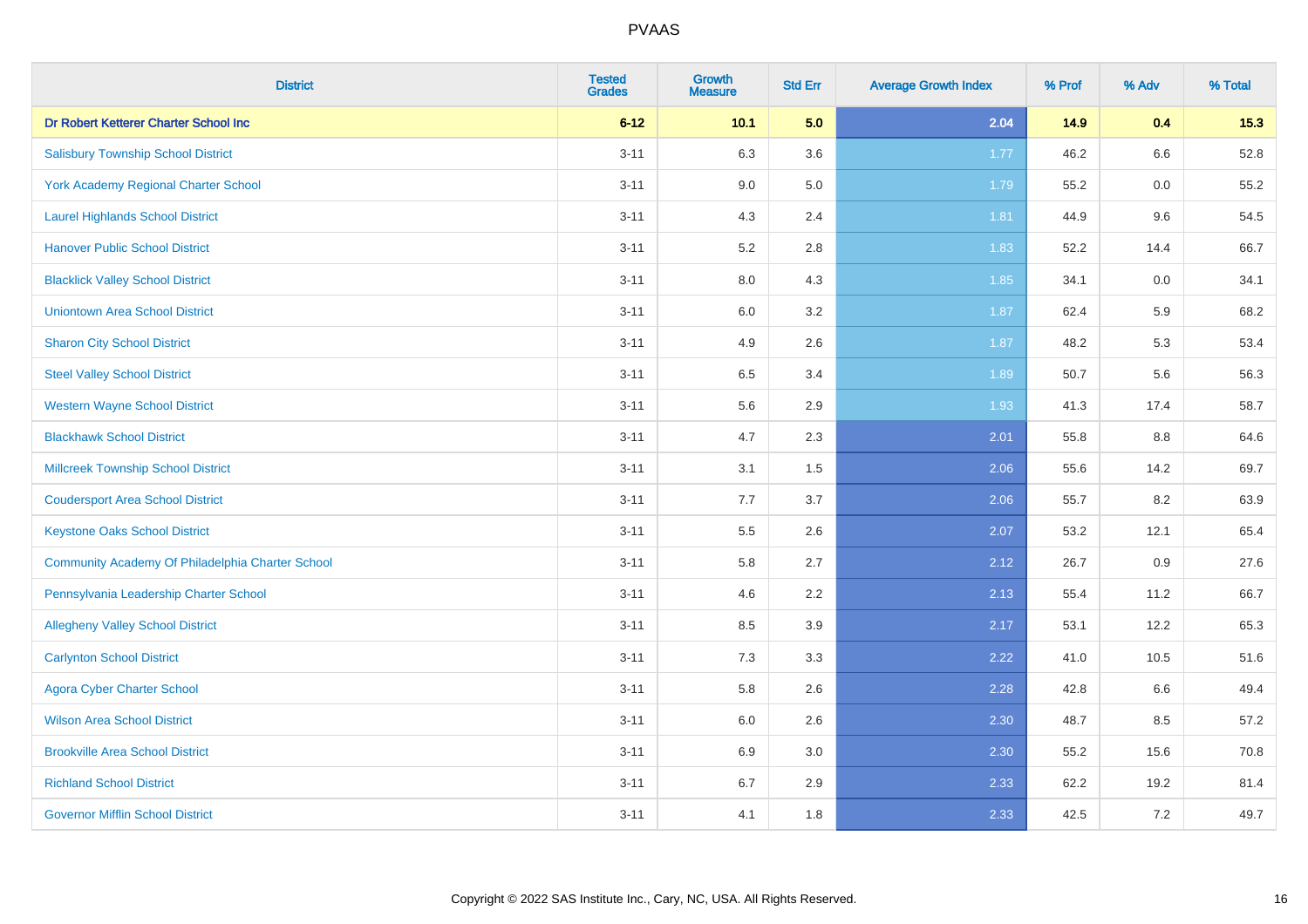| <b>District</b>                                  | <b>Tested</b><br><b>Grades</b> | Growth<br><b>Measure</b> | <b>Std Err</b> | <b>Average Growth Index</b> | % Prof | % Adv | % Total |
|--------------------------------------------------|--------------------------------|--------------------------|----------------|-----------------------------|--------|-------|---------|
| Dr Robert Ketterer Charter School Inc            | $6 - 12$                       | 10.1                     | 5.0            | 2.04                        | 14.9   | 0.4   | 15.3    |
| <b>Salisbury Township School District</b>        | $3 - 11$                       | 6.3                      | 3.6            | 1.77                        | 46.2   | 6.6   | 52.8    |
| <b>York Academy Regional Charter School</b>      | $3 - 11$                       | 9.0                      | 5.0            | 1.79                        | 55.2   | 0.0   | 55.2    |
| <b>Laurel Highlands School District</b>          | $3 - 11$                       | 4.3                      | 2.4            | 1.81                        | 44.9   | 9.6   | 54.5    |
| <b>Hanover Public School District</b>            | $3 - 11$                       | 5.2                      | 2.8            | 1.83                        | 52.2   | 14.4  | 66.7    |
| <b>Blacklick Valley School District</b>          | $3 - 11$                       | 8.0                      | 4.3            | 1.85                        | 34.1   | 0.0   | 34.1    |
| <b>Uniontown Area School District</b>            | $3 - 11$                       | $6.0\,$                  | 3.2            | 1.87                        | 62.4   | 5.9   | 68.2    |
| <b>Sharon City School District</b>               | $3 - 11$                       | 4.9                      | 2.6            | 1.87                        | 48.2   | 5.3   | 53.4    |
| <b>Steel Valley School District</b>              | $3 - 11$                       | 6.5                      | 3.4            | 1.89                        | 50.7   | 5.6   | 56.3    |
| <b>Western Wayne School District</b>             | $3 - 11$                       | 5.6                      | 2.9            | 1.93                        | 41.3   | 17.4  | 58.7    |
| <b>Blackhawk School District</b>                 | $3 - 11$                       | 4.7                      | 2.3            | 2.01                        | 55.8   | 8.8   | 64.6    |
| <b>Millcreek Township School District</b>        | $3 - 11$                       | 3.1                      | 1.5            | 2.06                        | 55.6   | 14.2  | 69.7    |
| <b>Coudersport Area School District</b>          | $3 - 11$                       | 7.7                      | 3.7            | 2.06                        | 55.7   | 8.2   | 63.9    |
| <b>Keystone Oaks School District</b>             | $3 - 11$                       | 5.5                      | 2.6            | 2.07                        | 53.2   | 12.1  | 65.4    |
| Community Academy Of Philadelphia Charter School | $3 - 11$                       | 5.8                      | 2.7            | 2.12                        | 26.7   | 0.9   | 27.6    |
| Pennsylvania Leadership Charter School           | $3 - 11$                       | 4.6                      | 2.2            | 2.13                        | 55.4   | 11.2  | 66.7    |
| <b>Allegheny Valley School District</b>          | $3 - 11$                       | 8.5                      | 3.9            | 2.17                        | 53.1   | 12.2  | 65.3    |
| <b>Carlynton School District</b>                 | $3 - 11$                       | 7.3                      | 3.3            | 2.22                        | 41.0   | 10.5  | 51.6    |
| <b>Agora Cyber Charter School</b>                | $3 - 11$                       | 5.8                      | 2.6            | 2.28                        | 42.8   | 6.6   | 49.4    |
| <b>Wilson Area School District</b>               | $3 - 11$                       | 6.0                      | 2.6            | 2.30                        | 48.7   | 8.5   | 57.2    |
| <b>Brookville Area School District</b>           | $3 - 11$                       | 6.9                      | 3.0            | 2.30                        | 55.2   | 15.6  | 70.8    |
| <b>Richland School District</b>                  | $3 - 11$                       | 6.7                      | 2.9            | 2.33                        | 62.2   | 19.2  | 81.4    |
| <b>Governor Mifflin School District</b>          | $3 - 11$                       | 4.1                      | 1.8            | 2.33                        | 42.5   | 7.2   | 49.7    |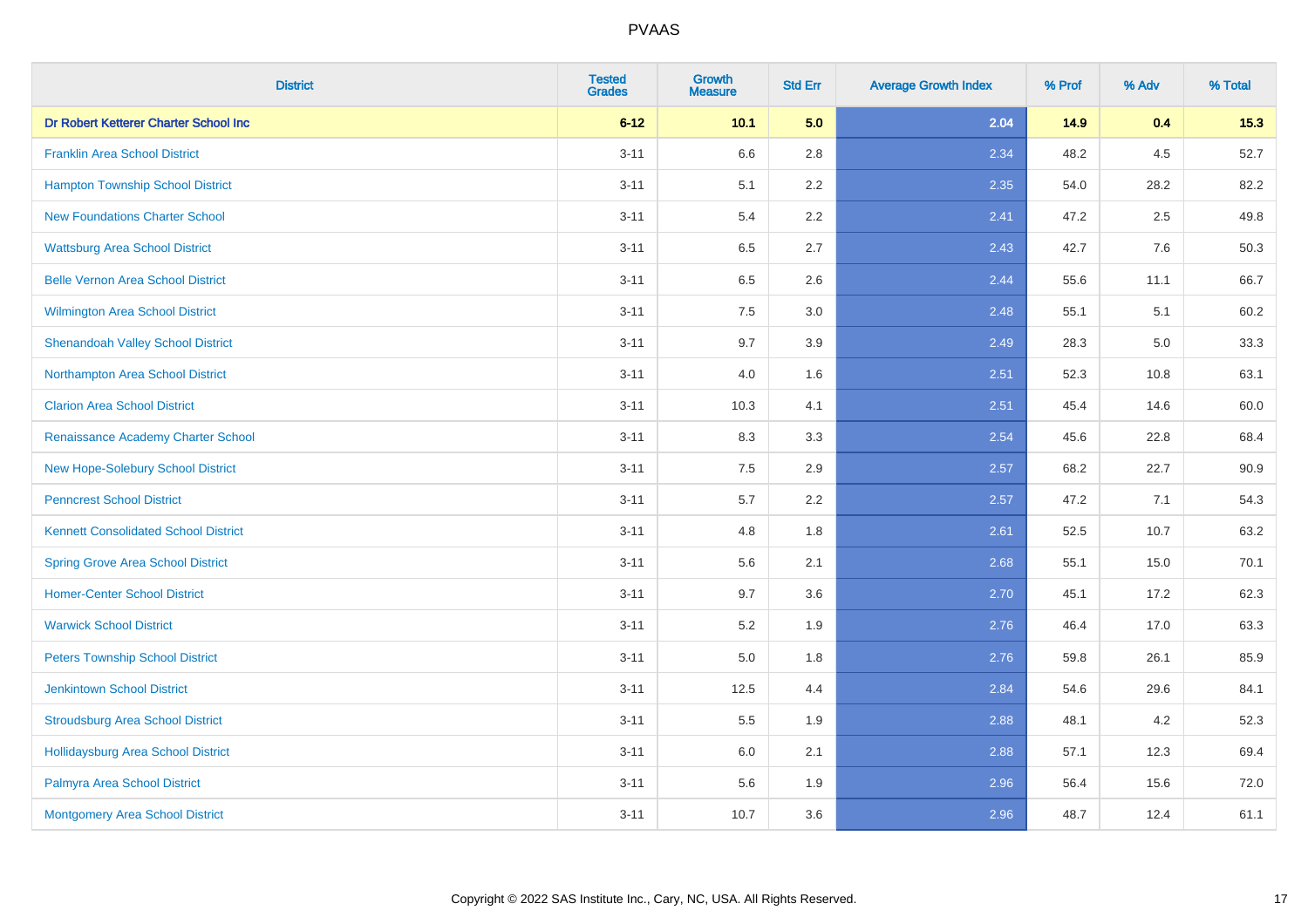| <b>District</b>                             | <b>Tested</b><br><b>Grades</b> | <b>Growth</b><br><b>Measure</b> | <b>Std Err</b> | <b>Average Growth Index</b> | % Prof | % Adv | % Total |
|---------------------------------------------|--------------------------------|---------------------------------|----------------|-----------------------------|--------|-------|---------|
| Dr Robert Ketterer Charter School Inc       | $6 - 12$                       | 10.1                            | 5.0            | 2.04                        | 14.9   | 0.4   | 15.3    |
| <b>Franklin Area School District</b>        | $3 - 11$                       | 6.6                             | 2.8            | 2.34                        | 48.2   | 4.5   | 52.7    |
| <b>Hampton Township School District</b>     | $3 - 11$                       | 5.1                             | 2.2            | 2.35                        | 54.0   | 28.2  | 82.2    |
| <b>New Foundations Charter School</b>       | $3 - 11$                       | 5.4                             | 2.2            | 2.41                        | 47.2   | 2.5   | 49.8    |
| <b>Wattsburg Area School District</b>       | $3 - 11$                       | 6.5                             | 2.7            | 2.43                        | 42.7   | 7.6   | 50.3    |
| <b>Belle Vernon Area School District</b>    | $3 - 11$                       | 6.5                             | 2.6            | 2.44                        | 55.6   | 11.1  | 66.7    |
| Wilmington Area School District             | $3 - 11$                       | 7.5                             | 3.0            | 2.48                        | 55.1   | 5.1   | 60.2    |
| <b>Shenandoah Valley School District</b>    | $3 - 11$                       | 9.7                             | 3.9            | 2.49                        | 28.3   | 5.0   | 33.3    |
| Northampton Area School District            | $3 - 11$                       | 4.0                             | 1.6            | 2.51                        | 52.3   | 10.8  | 63.1    |
| <b>Clarion Area School District</b>         | $3 - 11$                       | 10.3                            | 4.1            | 2.51                        | 45.4   | 14.6  | 60.0    |
| Renaissance Academy Charter School          | $3 - 11$                       | 8.3                             | 3.3            | 2.54                        | 45.6   | 22.8  | 68.4    |
| <b>New Hope-Solebury School District</b>    | $3 - 11$                       | 7.5                             | 2.9            | 2.57                        | 68.2   | 22.7  | 90.9    |
| <b>Penncrest School District</b>            | $3 - 11$                       | 5.7                             | 2.2            | 2.57                        | 47.2   | 7.1   | 54.3    |
| <b>Kennett Consolidated School District</b> | $3 - 11$                       | 4.8                             | 1.8            | 2.61                        | 52.5   | 10.7  | 63.2    |
| <b>Spring Grove Area School District</b>    | $3 - 11$                       | 5.6                             | 2.1            | 2.68                        | 55.1   | 15.0  | 70.1    |
| <b>Homer-Center School District</b>         | $3 - 11$                       | 9.7                             | 3.6            | 2.70                        | 45.1   | 17.2  | 62.3    |
| <b>Warwick School District</b>              | $3 - 11$                       | 5.2                             | 1.9            | 2.76                        | 46.4   | 17.0  | 63.3    |
| <b>Peters Township School District</b>      | $3 - 11$                       | 5.0                             | 1.8            | 2.76                        | 59.8   | 26.1  | 85.9    |
| <b>Jenkintown School District</b>           | $3 - 11$                       | 12.5                            | 4.4            | 2.84                        | 54.6   | 29.6  | 84.1    |
| <b>Stroudsburg Area School District</b>     | $3 - 11$                       | 5.5                             | 1.9            | 2.88                        | 48.1   | 4.2   | 52.3    |
| Hollidaysburg Area School District          | $3 - 11$                       | 6.0                             | 2.1            | 2.88                        | 57.1   | 12.3  | 69.4    |
| Palmyra Area School District                | $3 - 11$                       | 5.6                             | 1.9            | 2.96                        | 56.4   | 15.6  | 72.0    |
| Montgomery Area School District             | $3 - 11$                       | 10.7                            | 3.6            | 2.96                        | 48.7   | 12.4  | 61.1    |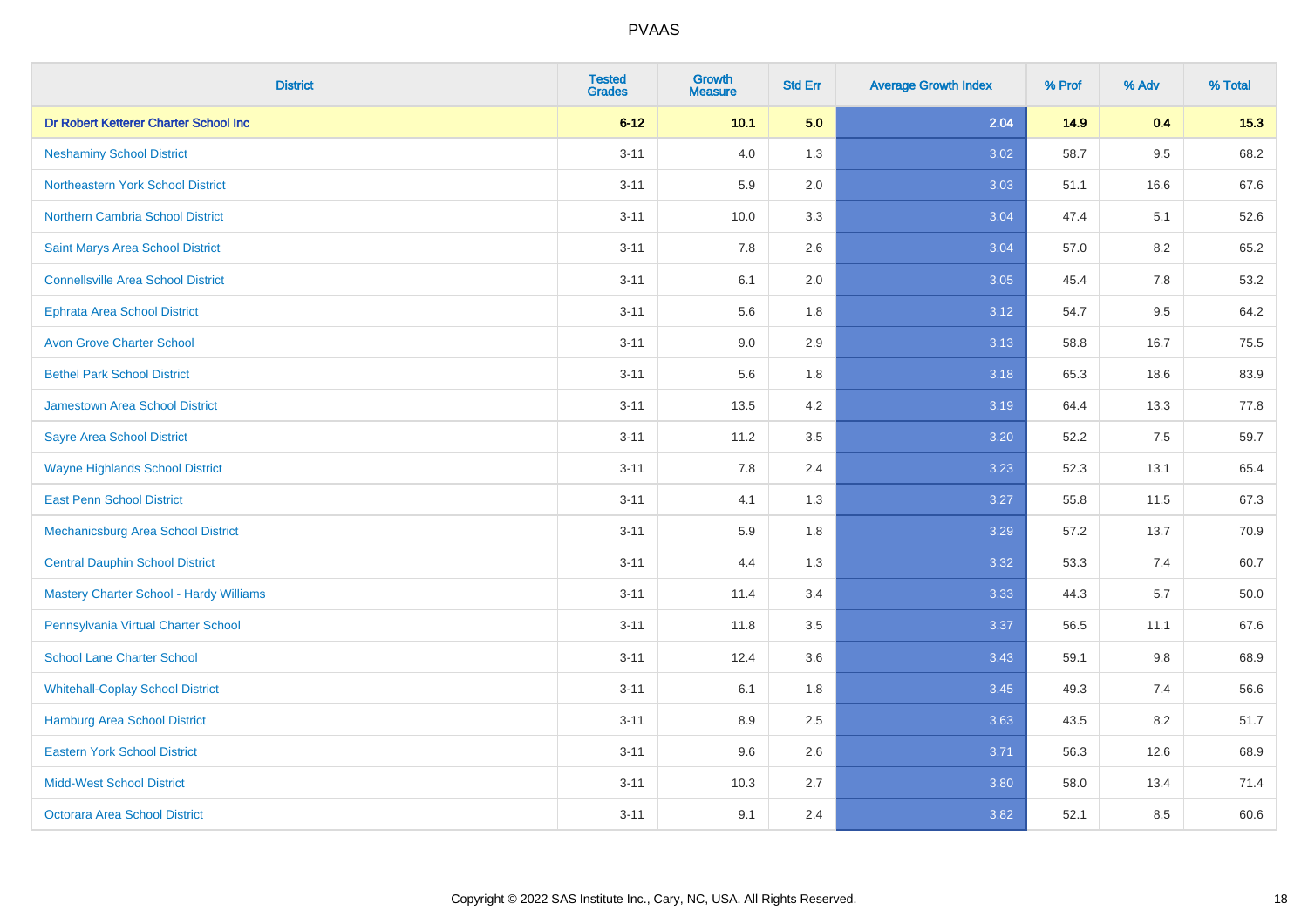| <b>District</b>                           | <b>Tested</b><br><b>Grades</b> | <b>Growth</b><br><b>Measure</b> | <b>Std Err</b> | <b>Average Growth Index</b> | % Prof | % Adv   | % Total |
|-------------------------------------------|--------------------------------|---------------------------------|----------------|-----------------------------|--------|---------|---------|
| Dr Robert Ketterer Charter School Inc     | $6 - 12$                       | 10.1                            | 5.0            | 2.04                        | 14.9   | 0.4     | 15.3    |
| <b>Neshaminy School District</b>          | $3 - 11$                       | 4.0                             | 1.3            | 3.02                        | 58.7   | $9.5\,$ | 68.2    |
| Northeastern York School District         | $3 - 11$                       | 5.9                             | 2.0            | 3.03                        | 51.1   | 16.6    | 67.6    |
| <b>Northern Cambria School District</b>   | $3 - 11$                       | 10.0                            | 3.3            | 3.04                        | 47.4   | 5.1     | 52.6    |
| <b>Saint Marys Area School District</b>   | $3 - 11$                       | 7.8                             | 2.6            | 3.04                        | 57.0   | 8.2     | 65.2    |
| <b>Connellsville Area School District</b> | $3 - 11$                       | 6.1                             | 2.0            | 3.05                        | 45.4   | 7.8     | 53.2    |
| <b>Ephrata Area School District</b>       | $3 - 11$                       | 5.6                             | 1.8            | 3.12                        | 54.7   | 9.5     | 64.2    |
| <b>Avon Grove Charter School</b>          | $3 - 11$                       | 9.0                             | 2.9            | 3.13                        | 58.8   | 16.7    | 75.5    |
| <b>Bethel Park School District</b>        | $3 - 11$                       | 5.6                             | 1.8            | 3.18                        | 65.3   | 18.6    | 83.9    |
| <b>Jamestown Area School District</b>     | $3 - 11$                       | 13.5                            | 4.2            | 3.19                        | 64.4   | 13.3    | 77.8    |
| <b>Sayre Area School District</b>         | $3 - 11$                       | 11.2                            | 3.5            | 3.20                        | 52.2   | 7.5     | 59.7    |
| <b>Wayne Highlands School District</b>    | $3 - 11$                       | 7.8                             | 2.4            | 3.23                        | 52.3   | 13.1    | 65.4    |
| <b>East Penn School District</b>          | $3 - 11$                       | 4.1                             | 1.3            | 3.27                        | 55.8   | 11.5    | 67.3    |
| Mechanicsburg Area School District        | $3 - 11$                       | 5.9                             | 1.8            | 3.29                        | 57.2   | 13.7    | 70.9    |
| <b>Central Dauphin School District</b>    | $3 - 11$                       | 4.4                             | 1.3            | 3.32                        | 53.3   | 7.4     | 60.7    |
| Mastery Charter School - Hardy Williams   | $3 - 11$                       | 11.4                            | 3.4            | 3.33                        | 44.3   | 5.7     | 50.0    |
| Pennsylvania Virtual Charter School       | $3 - 11$                       | 11.8                            | 3.5            | 3.37                        | 56.5   | 11.1    | 67.6    |
| <b>School Lane Charter School</b>         | $3 - 11$                       | 12.4                            | 3.6            | 3.43                        | 59.1   | 9.8     | 68.9    |
| <b>Whitehall-Coplay School District</b>   | $3 - 11$                       | 6.1                             | 1.8            | 3.45                        | 49.3   | 7.4     | 56.6    |
| <b>Hamburg Area School District</b>       | $3 - 11$                       | 8.9                             | 2.5            | 3.63                        | 43.5   | 8.2     | 51.7    |
| <b>Eastern York School District</b>       | $3 - 11$                       | 9.6                             | 2.6            | 3.71                        | 56.3   | 12.6    | 68.9    |
| <b>Midd-West School District</b>          | $3 - 11$                       | 10.3                            | 2.7            | 3.80                        | 58.0   | 13.4    | 71.4    |
| <b>Octorara Area School District</b>      | $3 - 11$                       | 9.1                             | 2.4            | 3.82                        | 52.1   | 8.5     | 60.6    |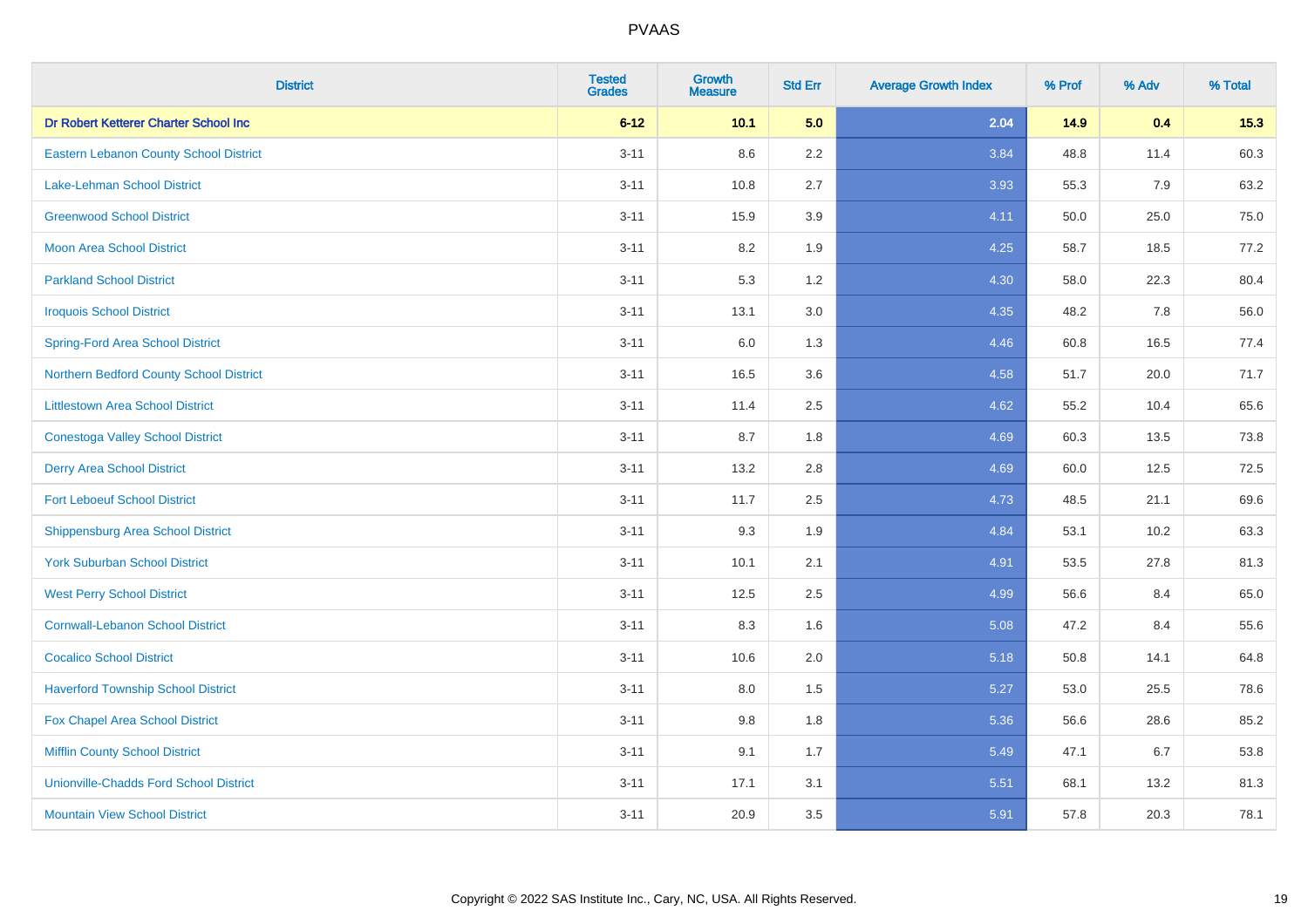| <b>District</b>                               | <b>Tested</b><br><b>Grades</b> | <b>Growth</b><br><b>Measure</b> | <b>Std Err</b> | <b>Average Growth Index</b> | % Prof | % Adv | % Total |
|-----------------------------------------------|--------------------------------|---------------------------------|----------------|-----------------------------|--------|-------|---------|
| Dr Robert Ketterer Charter School Inc         | $6 - 12$                       | 10.1                            | 5.0            | 2.04                        | 14.9   | 0.4   | 15.3    |
| <b>Eastern Lebanon County School District</b> | $3 - 11$                       | 8.6                             | $2.2\,$        | 3.84                        | 48.8   | 11.4  | 60.3    |
| <b>Lake-Lehman School District</b>            | $3 - 11$                       | 10.8                            | 2.7            | 3.93                        | 55.3   | 7.9   | 63.2    |
| <b>Greenwood School District</b>              | $3 - 11$                       | 15.9                            | 3.9            | 4.11                        | 50.0   | 25.0  | 75.0    |
| <b>Moon Area School District</b>              | $3 - 11$                       | 8.2                             | 1.9            | 4.25                        | 58.7   | 18.5  | 77.2    |
| <b>Parkland School District</b>               | $3 - 11$                       | 5.3                             | 1.2            | 4.30                        | 58.0   | 22.3  | 80.4    |
| <b>Iroquois School District</b>               | $3 - 11$                       | 13.1                            | 3.0            | 4.35                        | 48.2   | 7.8   | 56.0    |
| <b>Spring-Ford Area School District</b>       | $3 - 11$                       | 6.0                             | 1.3            | 4.46                        | 60.8   | 16.5  | 77.4    |
| Northern Bedford County School District       | $3 - 11$                       | 16.5                            | 3.6            | 4.58                        | 51.7   | 20.0  | 71.7    |
| <b>Littlestown Area School District</b>       | $3 - 11$                       | 11.4                            | 2.5            | 4.62                        | 55.2   | 10.4  | 65.6    |
| <b>Conestoga Valley School District</b>       | $3 - 11$                       | 8.7                             | 1.8            | 4.69                        | 60.3   | 13.5  | 73.8    |
| <b>Derry Area School District</b>             | $3 - 11$                       | 13.2                            | 2.8            | 4.69                        | 60.0   | 12.5  | 72.5    |
| <b>Fort Leboeuf School District</b>           | $3 - 11$                       | 11.7                            | 2.5            | 4.73                        | 48.5   | 21.1  | 69.6    |
| <b>Shippensburg Area School District</b>      | $3 - 11$                       | 9.3                             | 1.9            | 4.84                        | 53.1   | 10.2  | 63.3    |
| <b>York Suburban School District</b>          | $3 - 11$                       | 10.1                            | 2.1            | 4.91                        | 53.5   | 27.8  | 81.3    |
| <b>West Perry School District</b>             | $3 - 11$                       | 12.5                            | 2.5            | 4.99                        | 56.6   | 8.4   | 65.0    |
| <b>Cornwall-Lebanon School District</b>       | $3 - 11$                       | 8.3                             | 1.6            | 5.08                        | 47.2   | 8.4   | 55.6    |
| <b>Cocalico School District</b>               | $3 - 11$                       | 10.6                            | 2.0            | 5.18                        | 50.8   | 14.1  | 64.8    |
| <b>Haverford Township School District</b>     | $3 - 11$                       | 8.0                             | 1.5            | 5.27                        | 53.0   | 25.5  | 78.6    |
| Fox Chapel Area School District               | $3 - 11$                       | 9.8                             | 1.8            | 5.36                        | 56.6   | 28.6  | 85.2    |
| <b>Mifflin County School District</b>         | $3 - 11$                       | 9.1                             | 1.7            | 5.49                        | 47.1   | 6.7   | 53.8    |
| <b>Unionville-Chadds Ford School District</b> | $3 - 11$                       | 17.1                            | 3.1            | 5.51                        | 68.1   | 13.2  | 81.3    |
| <b>Mountain View School District</b>          | $3 - 11$                       | 20.9                            | 3.5            | 5.91                        | 57.8   | 20.3  | 78.1    |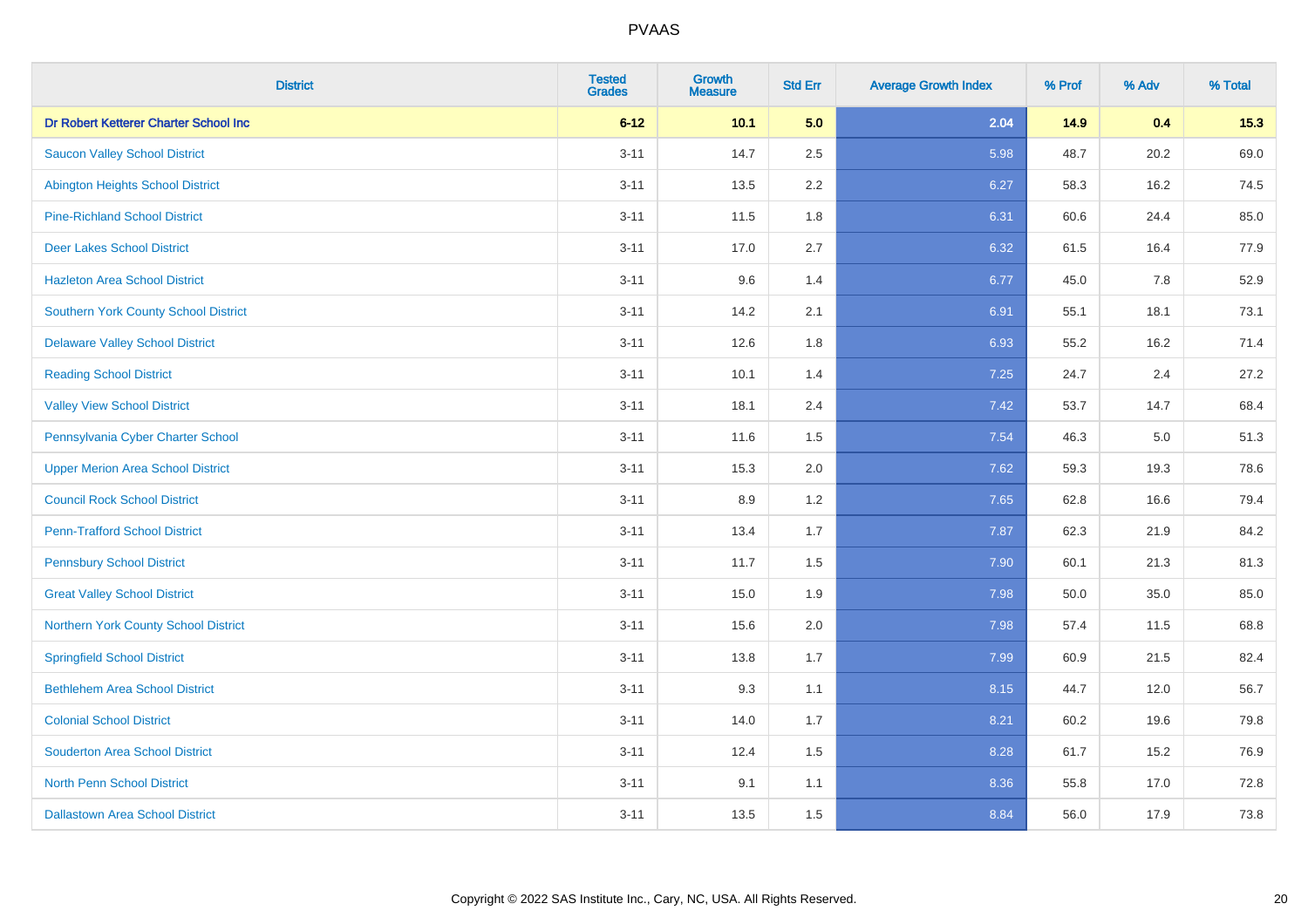| <b>District</b>                             | <b>Tested</b><br><b>Grades</b> | <b>Growth</b><br><b>Measure</b> | <b>Std Err</b> | <b>Average Growth Index</b> | % Prof | % Adv | % Total |
|---------------------------------------------|--------------------------------|---------------------------------|----------------|-----------------------------|--------|-------|---------|
| Dr Robert Ketterer Charter School Inc       | $6 - 12$                       | 10.1                            | 5.0            | 2.04                        | 14.9   | 0.4   | 15.3    |
| <b>Saucon Valley School District</b>        | $3 - 11$                       | 14.7                            | 2.5            | 5.98                        | 48.7   | 20.2  | 69.0    |
| <b>Abington Heights School District</b>     | $3 - 11$                       | 13.5                            | 2.2            | 6.27                        | 58.3   | 16.2  | 74.5    |
| <b>Pine-Richland School District</b>        | $3 - 11$                       | 11.5                            | 1.8            | 6.31                        | 60.6   | 24.4  | 85.0    |
| <b>Deer Lakes School District</b>           | $3 - 11$                       | 17.0                            | 2.7            | 6.32                        | 61.5   | 16.4  | 77.9    |
| <b>Hazleton Area School District</b>        | $3 - 11$                       | 9.6                             | 1.4            | 6.77                        | 45.0   | 7.8   | 52.9    |
| Southern York County School District        | $3 - 11$                       | 14.2                            | 2.1            | 6.91                        | 55.1   | 18.1  | 73.1    |
| <b>Delaware Valley School District</b>      | $3 - 11$                       | 12.6                            | 1.8            | 6.93                        | 55.2   | 16.2  | 71.4    |
| <b>Reading School District</b>              | $3 - 11$                       | 10.1                            | 1.4            | 7.25                        | 24.7   | 2.4   | 27.2    |
| <b>Valley View School District</b>          | $3 - 11$                       | 18.1                            | 2.4            | 7.42                        | 53.7   | 14.7  | 68.4    |
| Pennsylvania Cyber Charter School           | $3 - 11$                       | 11.6                            | 1.5            | 7.54                        | 46.3   | 5.0   | 51.3    |
| <b>Upper Merion Area School District</b>    | $3 - 11$                       | 15.3                            | 2.0            | 7.62                        | 59.3   | 19.3  | 78.6    |
| <b>Council Rock School District</b>         | $3 - 11$                       | 8.9                             | 1.2            | 7.65                        | 62.8   | 16.6  | 79.4    |
| <b>Penn-Trafford School District</b>        | $3 - 11$                       | 13.4                            | 1.7            | 7.87                        | 62.3   | 21.9  | 84.2    |
| <b>Pennsbury School District</b>            | $3 - 11$                       | 11.7                            | 1.5            | 7.90                        | 60.1   | 21.3  | 81.3    |
| <b>Great Valley School District</b>         | $3 - 11$                       | 15.0                            | 1.9            | 7.98                        | 50.0   | 35.0  | 85.0    |
| <b>Northern York County School District</b> | $3 - 11$                       | 15.6                            | 2.0            | 7.98                        | 57.4   | 11.5  | 68.8    |
| <b>Springfield School District</b>          | $3 - 11$                       | 13.8                            | 1.7            | 7.99                        | 60.9   | 21.5  | 82.4    |
| <b>Bethlehem Area School District</b>       | $3 - 11$                       | 9.3                             | 1.1            | 8.15                        | 44.7   | 12.0  | 56.7    |
| <b>Colonial School District</b>             | $3 - 11$                       | 14.0                            | 1.7            | 8.21                        | 60.2   | 19.6  | 79.8    |
| <b>Souderton Area School District</b>       | $3 - 11$                       | 12.4                            | 1.5            | 8.28                        | 61.7   | 15.2  | 76.9    |
| <b>North Penn School District</b>           | $3 - 11$                       | 9.1                             | 1.1            | 8.36                        | 55.8   | 17.0  | 72.8    |
| <b>Dallastown Area School District</b>      | $3 - 11$                       | 13.5                            | 1.5            | 8.84                        | 56.0   | 17.9  | 73.8    |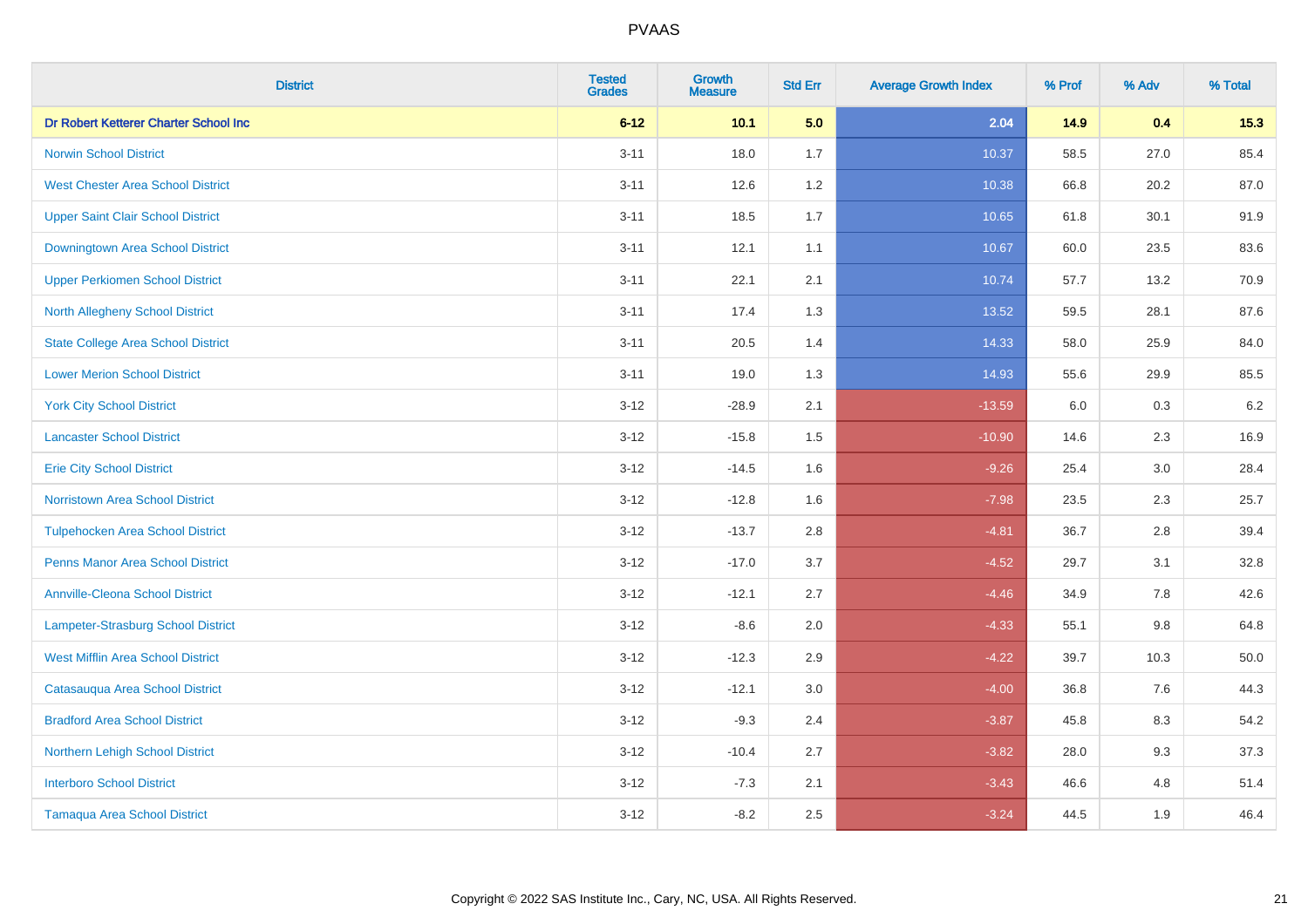| <b>District</b>                           | <b>Tested</b><br><b>Grades</b> | <b>Growth</b><br><b>Measure</b> | <b>Std Err</b> | <b>Average Growth Index</b> | % Prof | % Adv   | % Total |
|-------------------------------------------|--------------------------------|---------------------------------|----------------|-----------------------------|--------|---------|---------|
| Dr Robert Ketterer Charter School Inc     | $6 - 12$                       | 10.1                            | 5.0            | 2.04                        | 14.9   | 0.4     | 15.3    |
| <b>Norwin School District</b>             | $3 - 11$                       | 18.0                            | 1.7            | 10.37                       | 58.5   | 27.0    | 85.4    |
| <b>West Chester Area School District</b>  | $3 - 11$                       | 12.6                            | 1.2            | 10.38                       | 66.8   | 20.2    | 87.0    |
| <b>Upper Saint Clair School District</b>  | $3 - 11$                       | 18.5                            | 1.7            | 10.65                       | 61.8   | 30.1    | 91.9    |
| <b>Downingtown Area School District</b>   | $3 - 11$                       | 12.1                            | 1.1            | 10.67                       | 60.0   | 23.5    | 83.6    |
| <b>Upper Perkiomen School District</b>    | $3 - 11$                       | 22.1                            | 2.1            | 10.74                       | 57.7   | 13.2    | 70.9    |
| <b>North Allegheny School District</b>    | $3 - 11$                       | 17.4                            | 1.3            | 13.52                       | 59.5   | 28.1    | 87.6    |
| <b>State College Area School District</b> | $3 - 11$                       | 20.5                            | 1.4            | 14.33                       | 58.0   | 25.9    | 84.0    |
| <b>Lower Merion School District</b>       | $3 - 11$                       | 19.0                            | 1.3            | 14.93                       | 55.6   | 29.9    | 85.5    |
| <b>York City School District</b>          | $3 - 12$                       | $-28.9$                         | 2.1            | $-13.59$                    | 6.0    | 0.3     | 6.2     |
| <b>Lancaster School District</b>          | $3 - 12$                       | $-15.8$                         | 1.5            | $-10.90$                    | 14.6   | 2.3     | 16.9    |
| <b>Erie City School District</b>          | $3-12$                         | $-14.5$                         | 1.6            | $-9.26$                     | 25.4   | 3.0     | 28.4    |
| <b>Norristown Area School District</b>    | $3 - 12$                       | $-12.8$                         | 1.6            | $-7.98$                     | 23.5   | $2.3\,$ | 25.7    |
| <b>Tulpehocken Area School District</b>   | $3 - 12$                       | $-13.7$                         | 2.8            | $-4.81$                     | 36.7   | 2.8     | 39.4    |
| <b>Penns Manor Area School District</b>   | $3 - 12$                       | $-17.0$                         | 3.7            | $-4.52$                     | 29.7   | 3.1     | 32.8    |
| <b>Annville-Cleona School District</b>    | $3 - 12$                       | $-12.1$                         | 2.7            | $-4.46$                     | 34.9   | 7.8     | 42.6    |
| <b>Lampeter-Strasburg School District</b> | $3 - 12$                       | $-8.6$                          | 2.0            | $-4.33$                     | 55.1   | 9.8     | 64.8    |
| <b>West Mifflin Area School District</b>  | $3 - 12$                       | $-12.3$                         | 2.9            | $-4.22$                     | 39.7   | 10.3    | 50.0    |
| Catasauqua Area School District           | $3 - 12$                       | $-12.1$                         | 3.0            | $-4.00$                     | 36.8   | 7.6     | 44.3    |
| <b>Bradford Area School District</b>      | $3-12$                         | $-9.3$                          | 2.4            | $-3.87$                     | 45.8   | 8.3     | 54.2    |
| Northern Lehigh School District           | $3 - 12$                       | $-10.4$                         | 2.7            | $-3.82$                     | 28.0   | 9.3     | 37.3    |
| <b>Interboro School District</b>          | $3 - 12$                       | $-7.3$                          | 2.1            | $-3.43$                     | 46.6   | 4.8     | 51.4    |
| <b>Tamaqua Area School District</b>       | $3-12$                         | $-8.2$                          | 2.5            | $-3.24$                     | 44.5   | 1.9     | 46.4    |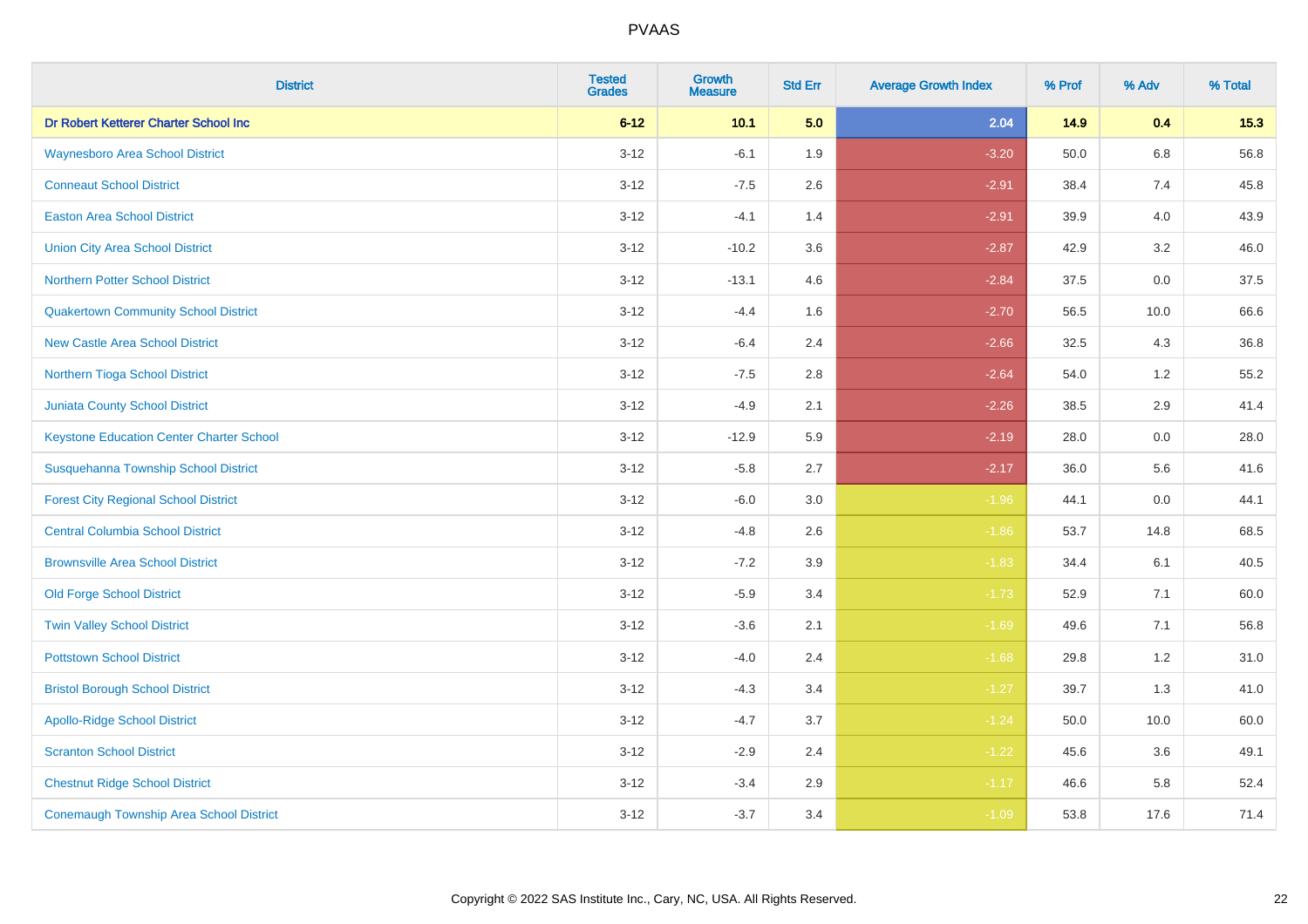| <b>District</b>                                 | <b>Tested</b><br><b>Grades</b> | <b>Growth</b><br><b>Measure</b> | <b>Std Err</b> | <b>Average Growth Index</b> | % Prof | % Adv   | % Total |
|-------------------------------------------------|--------------------------------|---------------------------------|----------------|-----------------------------|--------|---------|---------|
| Dr Robert Ketterer Charter School Inc           | $6 - 12$                       | 10.1                            | 5.0            | 2.04                        | 14.9   | 0.4     | 15.3    |
| <b>Waynesboro Area School District</b>          | $3 - 12$                       | $-6.1$                          | 1.9            | $-3.20$                     | 50.0   | $6.8\,$ | 56.8    |
| <b>Conneaut School District</b>                 | $3 - 12$                       | $-7.5$                          | 2.6            | $-2.91$                     | 38.4   | 7.4     | 45.8    |
| <b>Easton Area School District</b>              | $3 - 12$                       | $-4.1$                          | 1.4            | $-2.91$                     | 39.9   | 4.0     | 43.9    |
| <b>Union City Area School District</b>          | $3-12$                         | $-10.2$                         | 3.6            | $-2.87$                     | 42.9   | 3.2     | 46.0    |
| <b>Northern Potter School District</b>          | $3 - 12$                       | $-13.1$                         | 4.6            | $-2.84$                     | 37.5   | 0.0     | 37.5    |
| <b>Quakertown Community School District</b>     | $3 - 12$                       | $-4.4$                          | 1.6            | $-2.70$                     | 56.5   | 10.0    | 66.6    |
| <b>New Castle Area School District</b>          | $3 - 12$                       | $-6.4$                          | 2.4            | $-2.66$                     | 32.5   | 4.3     | 36.8    |
| Northern Tioga School District                  | $3 - 12$                       | $-7.5$                          | 2.8            | $-2.64$                     | 54.0   | 1.2     | 55.2    |
| <b>Juniata County School District</b>           | $3-12$                         | $-4.9$                          | 2.1            | $-2.26$                     | 38.5   | 2.9     | 41.4    |
| <b>Keystone Education Center Charter School</b> | $3 - 12$                       | $-12.9$                         | 5.9            | $-2.19$                     | 28.0   | 0.0     | 28.0    |
| Susquehanna Township School District            | $3 - 12$                       | $-5.8$                          | 2.7            | $-2.17$                     | 36.0   | 5.6     | 41.6    |
| <b>Forest City Regional School District</b>     | $3 - 12$                       | $-6.0$                          | $3.0\,$        | $-1.96$                     | 44.1   | $0.0\,$ | 44.1    |
| <b>Central Columbia School District</b>         | $3 - 12$                       | $-4.8$                          | 2.6            | $-1.86$                     | 53.7   | 14.8    | 68.5    |
| <b>Brownsville Area School District</b>         | $3 - 12$                       | $-7.2$                          | 3.9            | $-1.83$                     | 34.4   | 6.1     | 40.5    |
| <b>Old Forge School District</b>                | $3 - 12$                       | $-5.9$                          | 3.4            | $-1.73$                     | 52.9   | 7.1     | 60.0    |
| <b>Twin Valley School District</b>              | $3 - 12$                       | $-3.6$                          | 2.1            | $-1.69$                     | 49.6   | 7.1     | 56.8    |
| <b>Pottstown School District</b>                | $3 - 12$                       | $-4.0$                          | 2.4            | $-1.68$                     | 29.8   | 1.2     | 31.0    |
| <b>Bristol Borough School District</b>          | $3 - 12$                       | $-4.3$                          | 3.4            | $-1.27$                     | 39.7   | 1.3     | 41.0    |
| <b>Apollo-Ridge School District</b>             | $3 - 12$                       | $-4.7$                          | 3.7            | $-1.24$                     | 50.0   | 10.0    | 60.0    |
| <b>Scranton School District</b>                 | $3-12$                         | $-2.9$                          | 2.4            | $-1.22$                     | 45.6   | 3.6     | 49.1    |
| <b>Chestnut Ridge School District</b>           | $3 - 12$                       | $-3.4$                          | 2.9            | $-1.17$                     | 46.6   | 5.8     | 52.4    |
| <b>Conemaugh Township Area School District</b>  | $3 - 12$                       | $-3.7$                          | 3.4            | $-1.09$                     | 53.8   | 17.6    | 71.4    |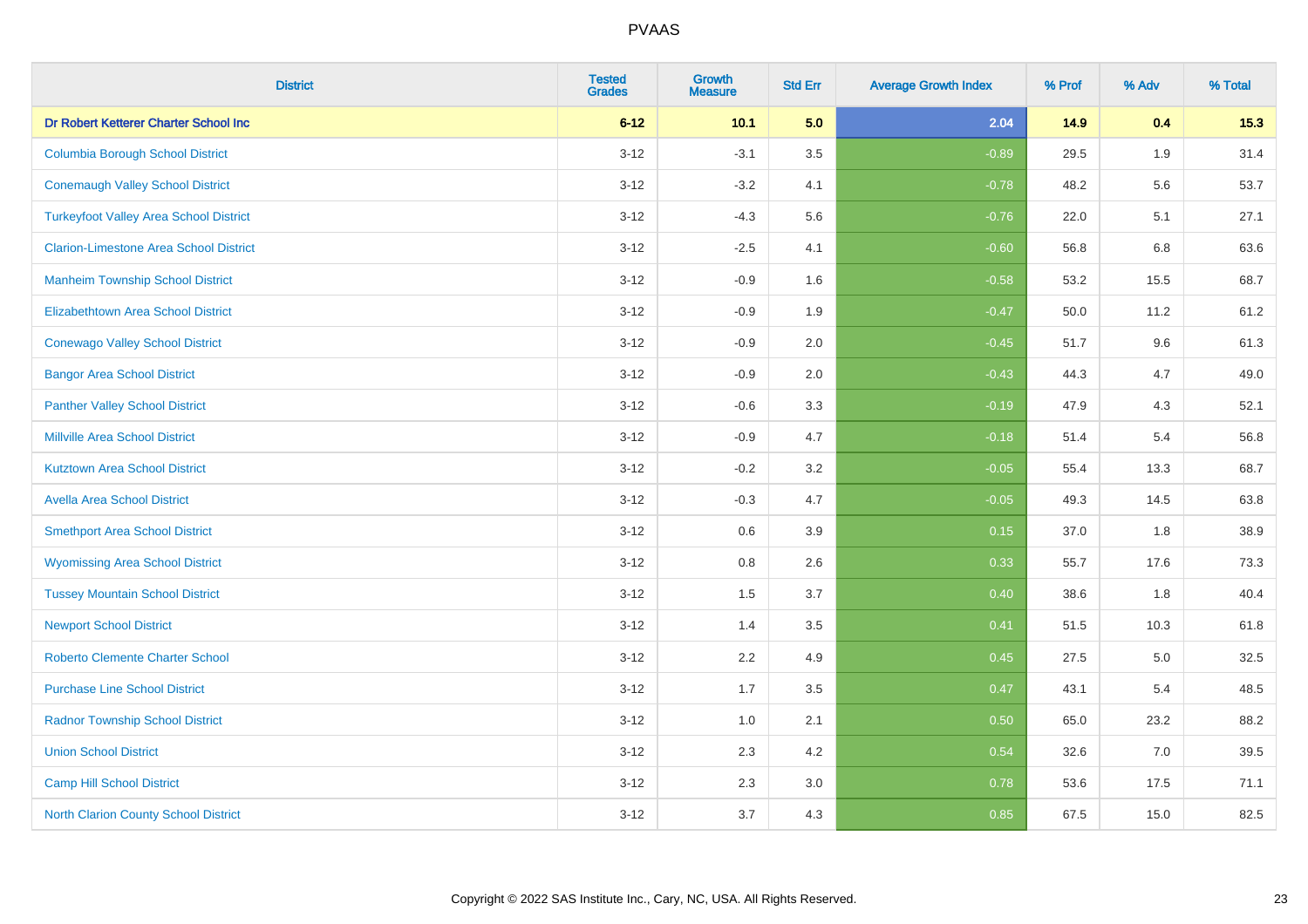| <b>District</b>                               | <b>Tested</b><br><b>Grades</b> | <b>Growth</b><br><b>Measure</b> | <b>Std Err</b> | <b>Average Growth Index</b> | % Prof | % Adv | % Total |
|-----------------------------------------------|--------------------------------|---------------------------------|----------------|-----------------------------|--------|-------|---------|
| Dr Robert Ketterer Charter School Inc         | $6 - 12$                       | 10.1                            | 5.0            | 2.04                        | 14.9   | 0.4   | 15.3    |
| <b>Columbia Borough School District</b>       | $3 - 12$                       | $-3.1$                          | 3.5            | $-0.89$                     | 29.5   | 1.9   | 31.4    |
| <b>Conemaugh Valley School District</b>       | $3 - 12$                       | $-3.2$                          | 4.1            | $-0.78$                     | 48.2   | 5.6   | 53.7    |
| <b>Turkeyfoot Valley Area School District</b> | $3 - 12$                       | $-4.3$                          | 5.6            | $-0.76$                     | 22.0   | 5.1   | 27.1    |
| <b>Clarion-Limestone Area School District</b> | $3 - 12$                       | $-2.5$                          | 4.1            | $-0.60$                     | 56.8   | 6.8   | 63.6    |
| <b>Manheim Township School District</b>       | $3 - 12$                       | $-0.9$                          | 1.6            | $-0.58$                     | 53.2   | 15.5  | 68.7    |
| Elizabethtown Area School District            | $3 - 12$                       | $-0.9$                          | 1.9            | $-0.47$                     | 50.0   | 11.2  | 61.2    |
| <b>Conewago Valley School District</b>        | $3 - 12$                       | $-0.9$                          | 2.0            | $-0.45$                     | 51.7   | 9.6   | 61.3    |
| <b>Bangor Area School District</b>            | $3 - 12$                       | $-0.9$                          | 2.0            | $-0.43$                     | 44.3   | 4.7   | 49.0    |
| <b>Panther Valley School District</b>         | $3 - 12$                       | $-0.6$                          | 3.3            | $-0.19$                     | 47.9   | 4.3   | 52.1    |
| <b>Millville Area School District</b>         | $3 - 12$                       | $-0.9$                          | 4.7            | $-0.18$                     | 51.4   | 5.4   | 56.8    |
| <b>Kutztown Area School District</b>          | $3 - 12$                       | $-0.2$                          | 3.2            | $-0.05$                     | 55.4   | 13.3  | 68.7    |
| <b>Avella Area School District</b>            | $3 - 12$                       | $-0.3$                          | 4.7            | $-0.05$                     | 49.3   | 14.5  | 63.8    |
| <b>Smethport Area School District</b>         | $3 - 12$                       | $0.6\,$                         | 3.9            | 0.15                        | 37.0   | 1.8   | 38.9    |
| <b>Wyomissing Area School District</b>        | $3 - 12$                       | 0.8                             | 2.6            | 0.33                        | 55.7   | 17.6  | 73.3    |
| <b>Tussey Mountain School District</b>        | $3 - 12$                       | 1.5                             | 3.7            | 0.40                        | 38.6   | 1.8   | 40.4    |
| <b>Newport School District</b>                | $3 - 12$                       | 1.4                             | 3.5            | 0.41                        | 51.5   | 10.3  | 61.8    |
| <b>Roberto Clemente Charter School</b>        | $3 - 12$                       | 2.2                             | 4.9            | 0.45                        | 27.5   | 5.0   | 32.5    |
| <b>Purchase Line School District</b>          | $3 - 12$                       | 1.7                             | 3.5            | 0.47                        | 43.1   | 5.4   | 48.5    |
| <b>Radnor Township School District</b>        | $3 - 12$                       | 1.0                             | 2.1            | 0.50                        | 65.0   | 23.2  | 88.2    |
| <b>Union School District</b>                  | $3 - 12$                       | 2.3                             | 4.2            | 0.54                        | 32.6   | 7.0   | 39.5    |
| <b>Camp Hill School District</b>              | $3 - 12$                       | 2.3                             | 3.0            | 0.78                        | 53.6   | 17.5  | 71.1    |
| <b>North Clarion County School District</b>   | $3 - 12$                       | 3.7                             | 4.3            | 0.85                        | 67.5   | 15.0  | 82.5    |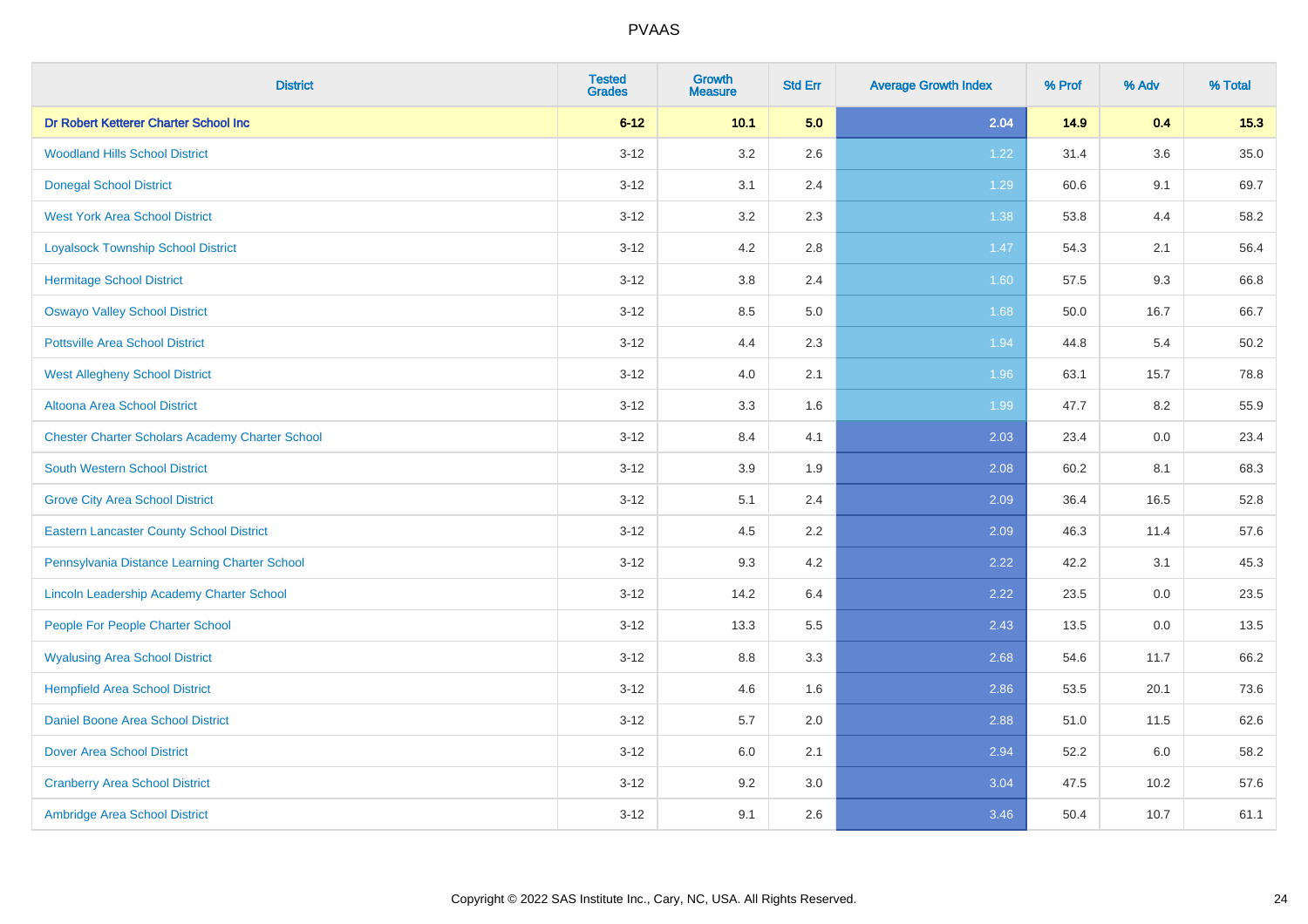| <b>District</b>                                        | <b>Tested</b><br><b>Grades</b> | <b>Growth</b><br><b>Measure</b> | <b>Std Err</b> | <b>Average Growth Index</b> | % Prof | % Adv   | % Total |
|--------------------------------------------------------|--------------------------------|---------------------------------|----------------|-----------------------------|--------|---------|---------|
| Dr Robert Ketterer Charter School Inc                  | $6 - 12$                       | 10.1                            | 5.0            | 2.04                        | 14.9   | 0.4     | 15.3    |
| <b>Woodland Hills School District</b>                  | $3 - 12$                       | 3.2                             | 2.6            | 1.22                        | 31.4   | $3.6\,$ | 35.0    |
| <b>Donegal School District</b>                         | $3 - 12$                       | 3.1                             | 2.4            | 1.29                        | 60.6   | 9.1     | 69.7    |
| <b>West York Area School District</b>                  | $3 - 12$                       | 3.2                             | 2.3            | 1.38                        | 53.8   | 4.4     | 58.2    |
| <b>Loyalsock Township School District</b>              | $3 - 12$                       | 4.2                             | 2.8            | $1.47$                      | 54.3   | 2.1     | 56.4    |
| <b>Hermitage School District</b>                       | $3 - 12$                       | 3.8                             | 2.4            | 1.60                        | 57.5   | 9.3     | 66.8    |
| <b>Oswayo Valley School District</b>                   | $3-12$                         | 8.5                             | 5.0            | 1.68                        | 50.0   | 16.7    | 66.7    |
| <b>Pottsville Area School District</b>                 | $3 - 12$                       | 4.4                             | 2.3            | 1.94                        | 44.8   | 5.4     | 50.2    |
| <b>West Allegheny School District</b>                  | $3 - 12$                       | 4.0                             | 2.1            | 1.96                        | 63.1   | 15.7    | 78.8    |
| Altoona Area School District                           | $3 - 12$                       | 3.3                             | 1.6            | 1.99                        | 47.7   | 8.2     | 55.9    |
| <b>Chester Charter Scholars Academy Charter School</b> | $3 - 12$                       | 8.4                             | 4.1            | 2.03                        | 23.4   | 0.0     | 23.4    |
| South Western School District                          | $3 - 12$                       | 3.9                             | 1.9            | 2.08                        | 60.2   | 8.1     | 68.3    |
| <b>Grove City Area School District</b>                 | $3-12$                         | 5.1                             | 2.4            | 2.09                        | 36.4   | 16.5    | 52.8    |
| <b>Eastern Lancaster County School District</b>        | $3 - 12$                       | 4.5                             | 2.2            | 2.09                        | 46.3   | 11.4    | 57.6    |
| Pennsylvania Distance Learning Charter School          | $3 - 12$                       | 9.3                             | 4.2            | 2.22                        | 42.2   | 3.1     | 45.3    |
| Lincoln Leadership Academy Charter School              | $3-12$                         | 14.2                            | 6.4            | 2.22                        | 23.5   | 0.0     | 23.5    |
| People For People Charter School                       | $3 - 12$                       | 13.3                            | 5.5            | 2.43                        | 13.5   | 0.0     | 13.5    |
| <b>Wyalusing Area School District</b>                  | $3 - 12$                       | 8.8                             | 3.3            | 2.68                        | 54.6   | 11.7    | 66.2    |
| <b>Hempfield Area School District</b>                  | $3 - 12$                       | 4.6                             | 1.6            | 2.86                        | 53.5   | 20.1    | 73.6    |
| <b>Daniel Boone Area School District</b>               | $3-12$                         | 5.7                             | 2.0            | 2.88                        | 51.0   | 11.5    | 62.6    |
| <b>Dover Area School District</b>                      | $3 - 12$                       | 6.0                             | 2.1            | 2.94                        | 52.2   | 6.0     | 58.2    |
| <b>Cranberry Area School District</b>                  | $3 - 12$                       | 9.2                             | 3.0            | 3.04                        | 47.5   | 10.2    | 57.6    |
| Ambridge Area School District                          | $3-12$                         | 9.1                             | 2.6            | 3.46                        | 50.4   | 10.7    | 61.1    |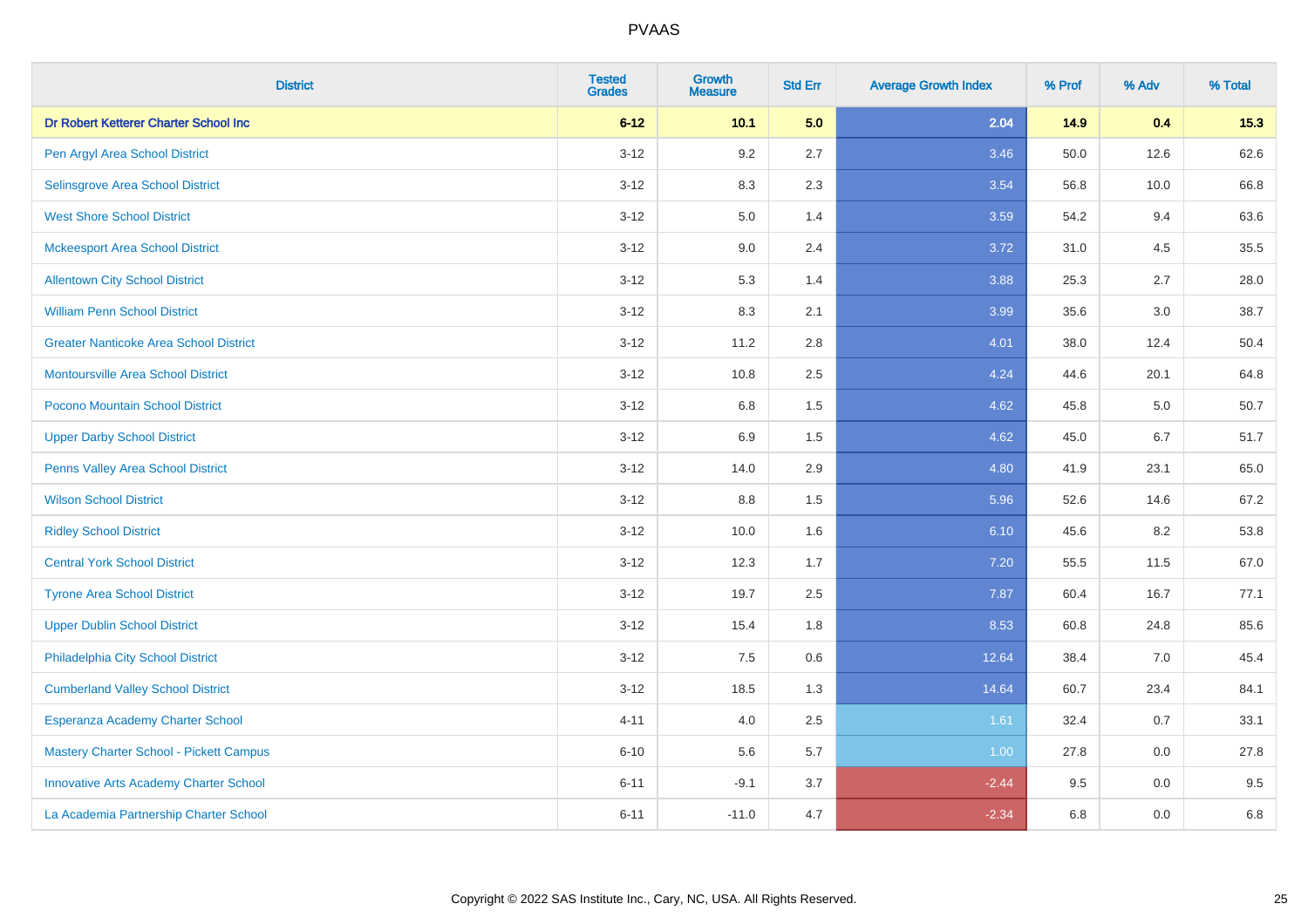| <b>District</b>                               | <b>Tested</b><br><b>Grades</b> | <b>Growth</b><br><b>Measure</b> | <b>Std Err</b> | <b>Average Growth Index</b> | % Prof | % Adv | % Total |
|-----------------------------------------------|--------------------------------|---------------------------------|----------------|-----------------------------|--------|-------|---------|
| Dr Robert Ketterer Charter School Inc         | $6 - 12$                       | 10.1                            | 5.0            | 2.04                        | 14.9   | 0.4   | 15.3    |
| Pen Argyl Area School District                | $3 - 12$                       | 9.2                             | 2.7            | 3.46                        | 50.0   | 12.6  | 62.6    |
| Selinsgrove Area School District              | $3 - 12$                       | 8.3                             | 2.3            | 3.54                        | 56.8   | 10.0  | 66.8    |
| <b>West Shore School District</b>             | $3 - 12$                       | 5.0                             | 1.4            | 3.59                        | 54.2   | 9.4   | 63.6    |
| <b>Mckeesport Area School District</b>        | $3 - 12$                       | 9.0                             | 2.4            | 3.72                        | 31.0   | 4.5   | 35.5    |
| <b>Allentown City School District</b>         | $3 - 12$                       | 5.3                             | 1.4            | 3.88                        | 25.3   | 2.7   | 28.0    |
| <b>William Penn School District</b>           | $3-12$                         | 8.3                             | 2.1            | 3.99                        | 35.6   | 3.0   | 38.7    |
| <b>Greater Nanticoke Area School District</b> | $3 - 12$                       | 11.2                            | 2.8            | 4.01                        | 38.0   | 12.4  | 50.4    |
| Montoursville Area School District            | $3 - 12$                       | 10.8                            | 2.5            | 4.24                        | 44.6   | 20.1  | 64.8    |
| Pocono Mountain School District               | $3 - 12$                       | 6.8                             | 1.5            | 4.62                        | 45.8   | 5.0   | 50.7    |
| <b>Upper Darby School District</b>            | $3 - 12$                       | 6.9                             | 1.5            | 4.62                        | 45.0   | 6.7   | 51.7    |
| Penns Valley Area School District             | $3 - 12$                       | 14.0                            | 2.9            | 4.80                        | 41.9   | 23.1  | 65.0    |
| <b>Wilson School District</b>                 | $3 - 12$                       | $8.8\,$                         | 1.5            | 5.96                        | 52.6   | 14.6  | 67.2    |
| <b>Ridley School District</b>                 | $3 - 12$                       | 10.0                            | 1.6            | 6.10                        | 45.6   | 8.2   | 53.8    |
| <b>Central York School District</b>           | $3 - 12$                       | 12.3                            | 1.7            | 7.20                        | 55.5   | 11.5  | 67.0    |
| <b>Tyrone Area School District</b>            | $3 - 12$                       | 19.7                            | 2.5            | 7.87                        | 60.4   | 16.7  | 77.1    |
| <b>Upper Dublin School District</b>           | $3 - 12$                       | 15.4                            | 1.8            | 8.53                        | 60.8   | 24.8  | 85.6    |
| Philadelphia City School District             | $3 - 12$                       | 7.5                             | 0.6            | 12.64                       | 38.4   | 7.0   | 45.4    |
| <b>Cumberland Valley School District</b>      | $3 - 12$                       | 18.5                            | 1.3            | 14.64                       | 60.7   | 23.4  | 84.1    |
| Esperanza Academy Charter School              | $4 - 11$                       | 4.0                             | 2.5            | 1.61                        | 32.4   | 0.7   | 33.1    |
| Mastery Charter School - Pickett Campus       | $6 - 10$                       | 5.6                             | 5.7            | 1.00                        | 27.8   | 0.0   | 27.8    |
| <b>Innovative Arts Academy Charter School</b> | $6 - 11$                       | $-9.1$                          | 3.7            | $-2.44$                     | 9.5    | 0.0   | 9.5     |
| La Academia Partnership Charter School        | $6 - 11$                       | $-11.0$                         | 4.7            | $-2.34$                     | 6.8    | 0.0   | 6.8     |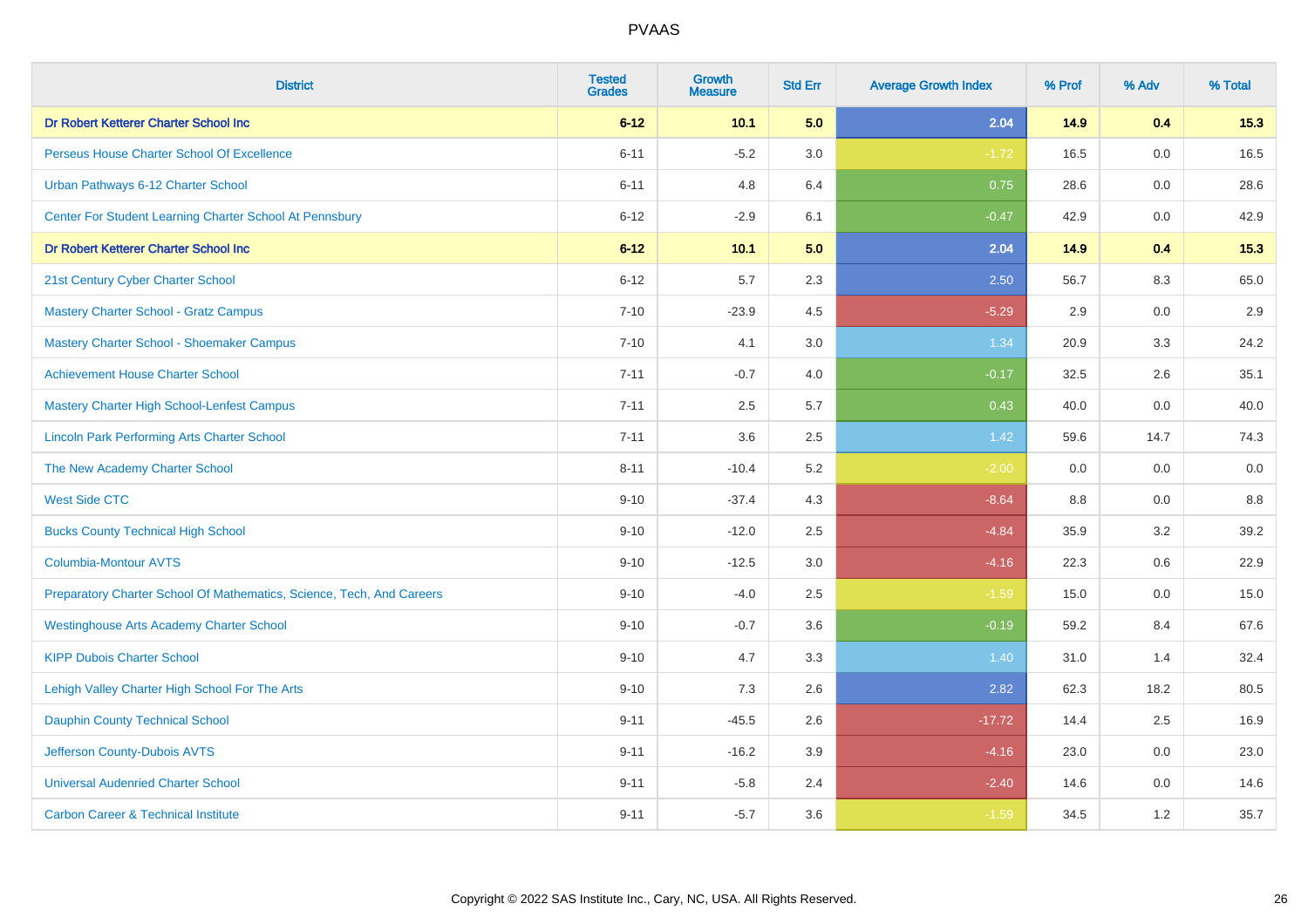| <b>District</b>                                                       | <b>Tested</b><br><b>Grades</b> | <b>Growth</b><br><b>Measure</b> | <b>Std Err</b> | <b>Average Growth Index</b> | % Prof | % Adv   | % Total |
|-----------------------------------------------------------------------|--------------------------------|---------------------------------|----------------|-----------------------------|--------|---------|---------|
| Dr Robert Ketterer Charter School Inc                                 | $6 - 12$                       | 10.1                            | 5.0            | 2.04                        | 14.9   | 0.4     | 15.3    |
| Perseus House Charter School Of Excellence                            | $6 - 11$                       | $-5.2$                          | 3.0            | $-1.72$                     | 16.5   | 0.0     | 16.5    |
| Urban Pathways 6-12 Charter School                                    | $6 - 11$                       | 4.8                             | 6.4            | 0.75                        | 28.6   | 0.0     | 28.6    |
| Center For Student Learning Charter School At Pennsbury               | $6 - 12$                       | $-2.9$                          | 6.1            | $-0.47$                     | 42.9   | $0.0\,$ | 42.9    |
| Dr Robert Ketterer Charter School Inc                                 | $6 - 12$                       | 10.1                            | 5.0            | 2.04                        | 14.9   | 0.4     | 15.3    |
| 21st Century Cyber Charter School                                     | $6 - 12$                       | 5.7                             | 2.3            | 2.50                        | 56.7   | 8.3     | 65.0    |
| <b>Mastery Charter School - Gratz Campus</b>                          | $7 - 10$                       | $-23.9$                         | 4.5            | $-5.29$                     | 2.9    | $0.0\,$ | 2.9     |
| Mastery Charter School - Shoemaker Campus                             | $7 - 10$                       | 4.1                             | 3.0            | 1.34                        | 20.9   | 3.3     | 24.2    |
| <b>Achievement House Charter School</b>                               | $7 - 11$                       | $-0.7$                          | 4.0            | $-0.17$                     | 32.5   | 2.6     | 35.1    |
| <b>Mastery Charter High School-Lenfest Campus</b>                     | $7 - 11$                       | 2.5                             | 5.7            | 0.43                        | 40.0   | $0.0\,$ | 40.0    |
| <b>Lincoln Park Performing Arts Charter School</b>                    | $7 - 11$                       | 3.6                             | 2.5            | $1.42$                      | 59.6   | 14.7    | 74.3    |
| The New Academy Charter School                                        | $8 - 11$                       | $-10.4$                         | 5.2            | $-2.00$                     | 0.0    | 0.0     | 0.0     |
| <b>West Side CTC</b>                                                  | $9 - 10$                       | $-37.4$                         | 4.3            | $-8.64$                     | 8.8    | 0.0     | 8.8     |
| <b>Bucks County Technical High School</b>                             | $9 - 10$                       | $-12.0$                         | 2.5            | $-4.84$                     | 35.9   | 3.2     | 39.2    |
| <b>Columbia-Montour AVTS</b>                                          | $9 - 10$                       | $-12.5$                         | 3.0            | $-4.16$                     | 22.3   | 0.6     | 22.9    |
| Preparatory Charter School Of Mathematics, Science, Tech, And Careers | $9 - 10$                       | $-4.0$                          | 2.5            | $-1.59$                     | 15.0   | 0.0     | 15.0    |
| <b>Westinghouse Arts Academy Charter School</b>                       | $9 - 10$                       | $-0.7$                          | 3.6            | $-0.19$                     | 59.2   | 8.4     | 67.6    |
| <b>KIPP Dubois Charter School</b>                                     | $9 - 10$                       | 4.7                             | 3.3            | 1.40                        | 31.0   | 1.4     | 32.4    |
| Lehigh Valley Charter High School For The Arts                        | $9 - 10$                       | 7.3                             | 2.6            | 2.82                        | 62.3   | 18.2    | 80.5    |
| <b>Dauphin County Technical School</b>                                | $9 - 11$                       | $-45.5$                         | 2.6            | $-17.72$                    | 14.4   | 2.5     | 16.9    |
| Jefferson County-Dubois AVTS                                          | $9 - 11$                       | $-16.2$                         | 3.9            | $-4.16$                     | 23.0   | 0.0     | 23.0    |
| <b>Universal Audenried Charter School</b>                             | $9 - 11$                       | $-5.8$                          | 2.4            | $-2.40$                     | 14.6   | 0.0     | 14.6    |
| <b>Carbon Career &amp; Technical Institute</b>                        | $9 - 11$                       | $-5.7$                          | 3.6            | $-1.59$                     | 34.5   | 1.2     | 35.7    |